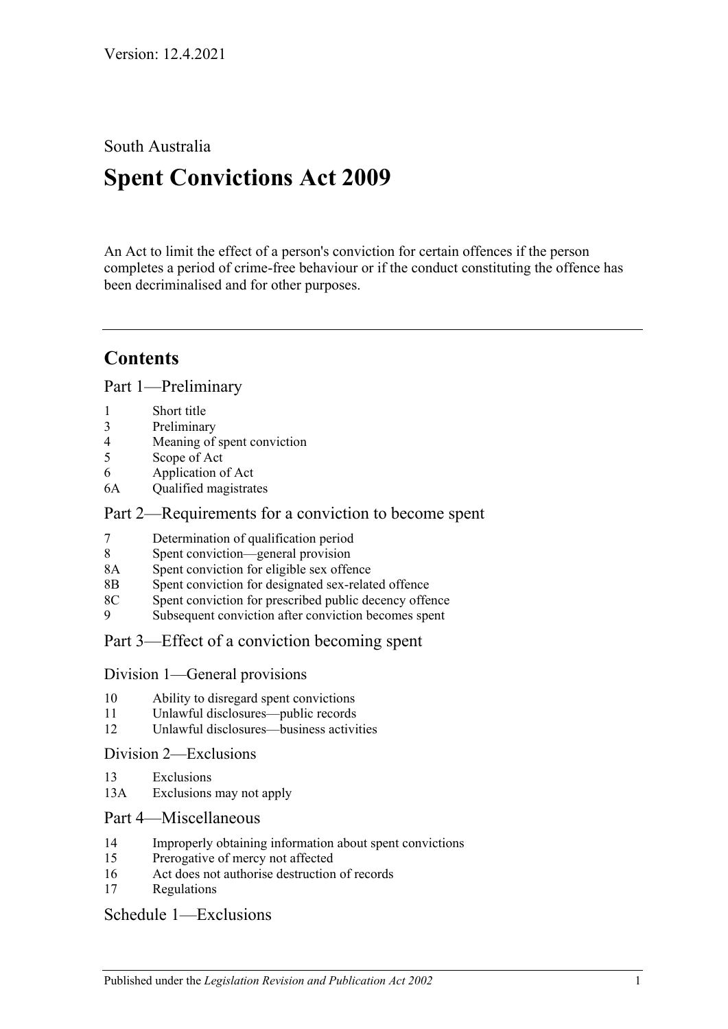South Australia

# **Spent Convictions Act 2009**

An Act to limit the effect of a person's conviction for certain offences if the person completes a period of crime-free behaviour or if the conduct constituting the offence has been decriminalised and for other purposes.

## **Contents**

[Part 1—Preliminary](#page-1-0)

|   | Short title |  |
|---|-------------|--|
| ◠ |             |  |

- 3 [Preliminary](#page-1-2)
- 4 [Meaning of spent conviction](#page-7-0) 5 [Scope of](#page-7-1) Act
- 6 [Application of Act](#page-8-0)
- 6A [Qualified magistrates](#page-8-1)

## [Part 2—Requirements for a conviction to become spent](#page-9-0)

- 7 [Determination of qualification period](#page-9-1)
- 8 [Spent conviction—general provision](#page-10-0)
- 8A [Spent conviction for eligible sex offence](#page-10-1)
- 8B [Spent conviction for designated sex-related offence](#page-11-0)
- 8C [Spent conviction for prescribed public decency offence](#page-11-1)
- 9 [Subsequent conviction after conviction becomes spent](#page-12-0)

## [Part 3—Effect of a conviction becoming spent](#page-13-0)

- [Division 1—General provisions](#page-13-1)
- 10 [Ability to disregard spent convictions](#page-13-2)
- 11 [Unlawful disclosures—public records](#page-13-3)
- 12 [Unlawful disclosures—business activities](#page-14-0)

#### [Division 2—Exclusions](#page-14-1)

- 13 [Exclusions](#page-14-2)
- 13A [Exclusions may not apply](#page-14-3)

## [Part 4—Miscellaneous](#page-15-0)

- 14 [Improperly obtaining information about spent convictions](#page-15-1)
- 15 [Prerogative of mercy not affected](#page-15-2)
- 16 [Act does not authorise destruction of records](#page-15-3)
- 17 [Regulations](#page-15-4)

## [Schedule 1—Exclusions](#page-16-0)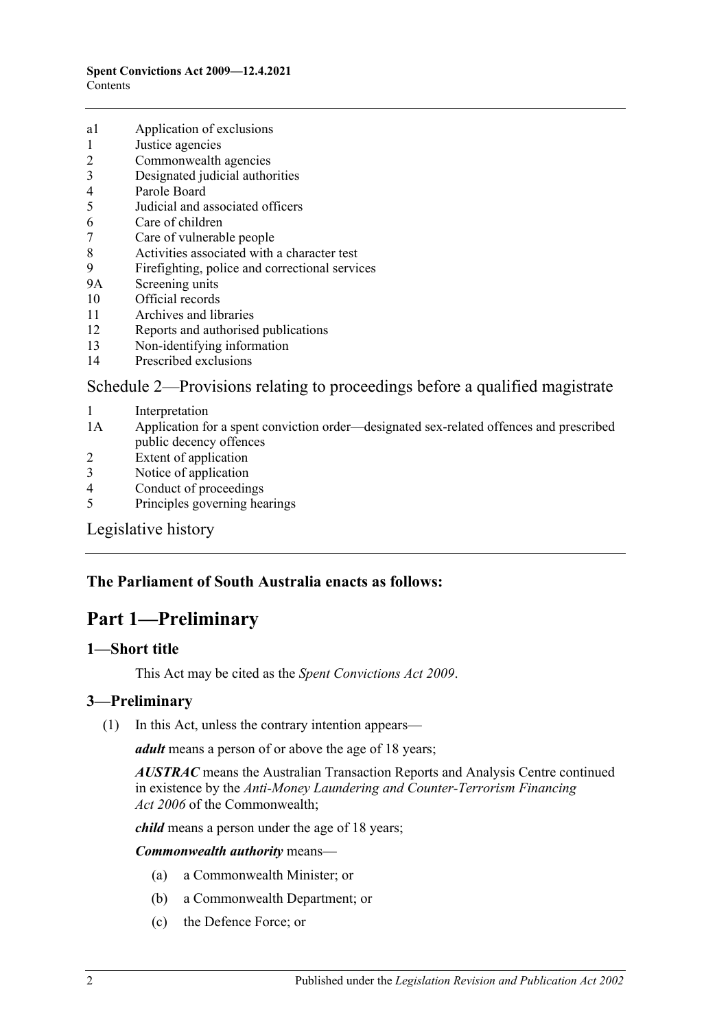- a1 [Application of exclusions](#page-16-1)
- 1 [Justice agencies](#page-16-2)
- 2 [Commonwealth agencies](#page-17-0)
- 3 [Designated judicial authorities](#page-17-1)
- 4 [Parole Board](#page-17-2)
- 5 [Judicial and associated officers](#page-17-3)
- 6 [Care of children](#page-18-0)
- 7 [Care of vulnerable people](#page-18-1)
- 8 [Activities associated with a character test](#page-19-0)
- 9 [Firefighting, police and correctional services](#page-19-1)
- 9A [Screening units](#page-19-2)
- 10 [Official records](#page-20-0)
- 11 [Archives and libraries](#page-20-1)
- 12 [Reports and authorised publications](#page-21-0)
- 13 [Non-identifying information](#page-21-1)
- 14 [Prescribed exclusions](#page-21-2)

#### [Schedule 2—Provisions relating to proceedings before a qualified magistrate](#page-21-3)

- 1 [Interpretation](#page-21-4)
- 1A [Application for a spent conviction order—designated sex-related offences and prescribed](#page-21-5)  [public decency offences](#page-21-5)
- 2 [Extent of application](#page-22-0)
- 3 [Notice of application](#page-22-1)
- 4 [Conduct of proceedings](#page-23-0)
- 5 [Principles governing hearings](#page-23-1)

#### [Legislative history](#page-24-0)

## <span id="page-1-0"></span>**The Parliament of South Australia enacts as follows:**

## **Part 1—Preliminary**

#### <span id="page-1-1"></span>**1—Short title**

This Act may be cited as the *Spent Convictions Act 2009*.

#### <span id="page-1-3"></span><span id="page-1-2"></span>**3—Preliminary**

(1) In this Act, unless the contrary intention appears—

*adult* means a person of or above the age of 18 years;

*AUSTRAC* means the Australian Transaction Reports and Analysis Centre continued in existence by the *Anti-Money Laundering and Counter-Terrorism Financing Act 2006* of the Commonwealth;

*child* means a person under the age of 18 years;

*Commonwealth authority* means—

- (a) a Commonwealth Minister; or
- (b) a Commonwealth Department; or
- (c) the Defence Force; or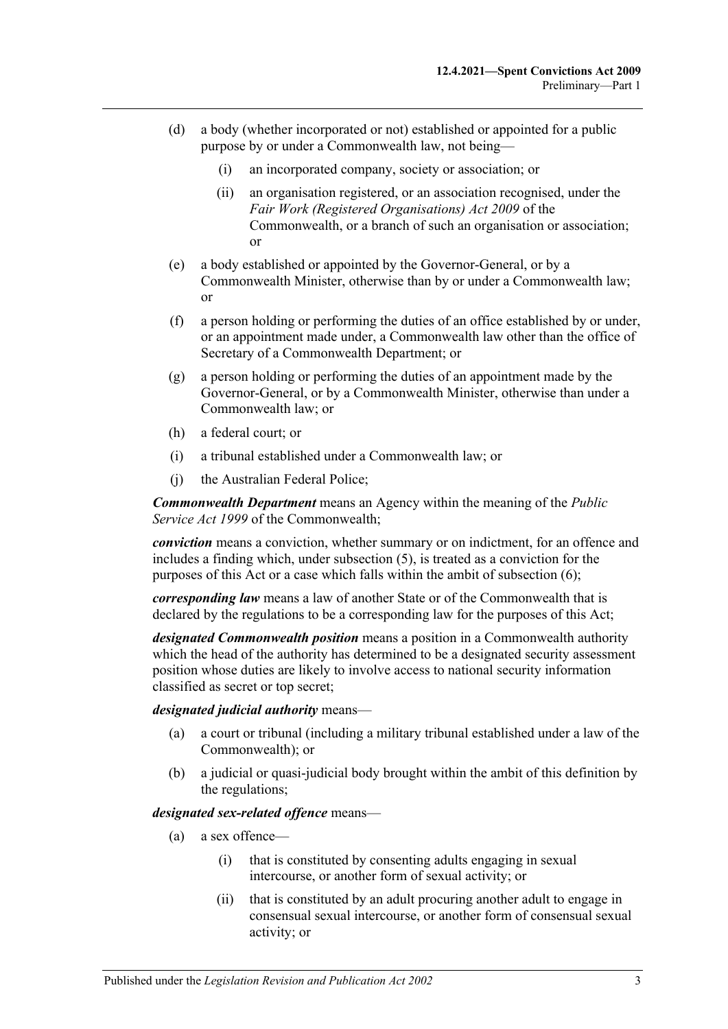- (d) a body (whether incorporated or not) established or appointed for a public purpose by or under a Commonwealth law, not being—
	- (i) an incorporated company, society or association; or
	- (ii) an organisation registered, or an association recognised, under the *Fair Work (Registered Organisations) Act 2009* of the Commonwealth, or a branch of such an organisation or association; or
- (e) a body established or appointed by the Governor-General, or by a Commonwealth Minister, otherwise than by or under a Commonwealth law; or
- (f) a person holding or performing the duties of an office established by or under, or an appointment made under, a Commonwealth law other than the office of Secretary of a Commonwealth Department; or
- (g) a person holding or performing the duties of an appointment made by the Governor-General, or by a Commonwealth Minister, otherwise than under a Commonwealth law; or
- (h) a federal court; or
- (i) a tribunal established under a Commonwealth law; or
- (j) the Australian Federal Police;

*Commonwealth Department* means an Agency within the meaning of the *Public Service Act 1999* of the Commonwealth;

*conviction* means a conviction, whether summary or on indictment, for an offence and includes a finding which, under [subsection](#page-6-0) (5), is treated as a conviction for the purposes of this Act or a case which falls within the ambit of [subsection](#page-6-1) (6);

*corresponding law* means a law of another State or of the Commonwealth that is declared by the regulations to be a corresponding law for the purposes of this Act;

*designated Commonwealth position* means a position in a Commonwealth authority which the head of the authority has determined to be a designated security assessment position whose duties are likely to involve access to national security information classified as secret or top secret;

*designated judicial authority* means—

- (a) a court or tribunal (including a military tribunal established under a law of the Commonwealth); or
- (b) a judicial or quasi-judicial body brought within the ambit of this definition by the regulations;

#### <span id="page-2-0"></span>*designated sex-related offence* means—

- (a) a sex offence—
	- (i) that is constituted by consenting adults engaging in sexual intercourse, or another form of sexual activity; or
	- (ii) that is constituted by an adult procuring another adult to engage in consensual sexual intercourse, or another form of consensual sexual activity; or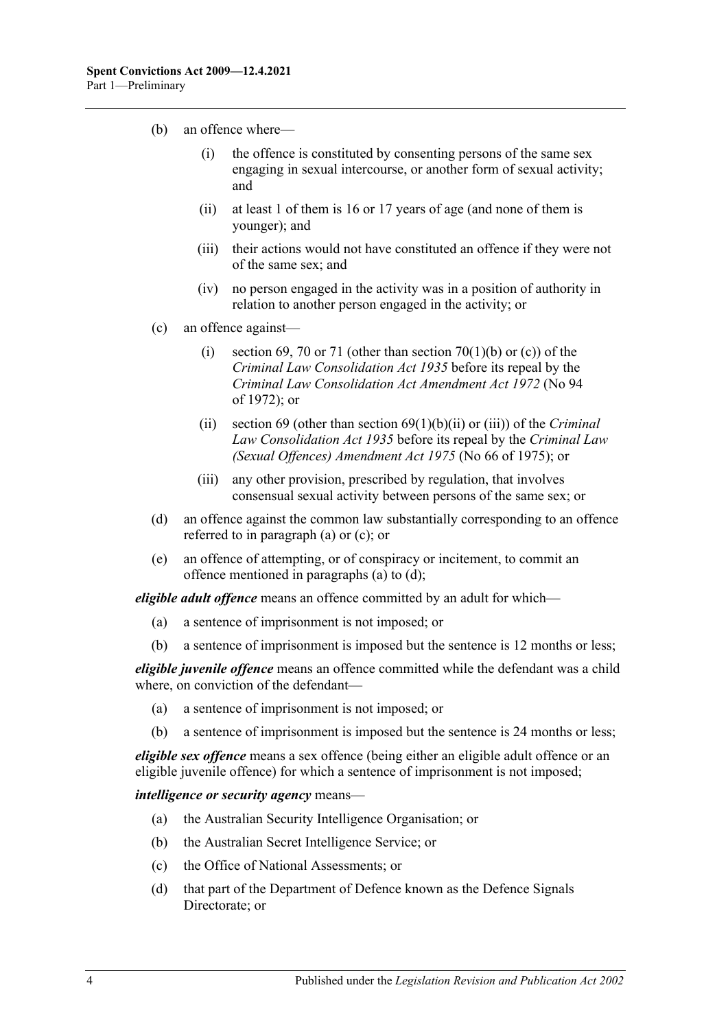- (b) an offence where—
	- (i) the offence is constituted by consenting persons of the same sex engaging in sexual intercourse, or another form of sexual activity; and
	- (ii) at least 1 of them is 16 or 17 years of age (and none of them is younger); and
	- (iii) their actions would not have constituted an offence if they were not of the same sex; and
	- (iv) no person engaged in the activity was in a position of authority in relation to another person engaged in the activity; or
- <span id="page-3-0"></span>(c) an offence against—
	- (i) section 69, 70 or 71 (other than section 70(1)(b) or (c)) of the *[Criminal Law Consolidation Act](http://www.legislation.sa.gov.au/index.aspx?action=legref&type=act&legtitle=Criminal%20Law%20Consolidation%20Act%201935) 1935* before its repeal by the *[Criminal Law Consolidation Act Amendment Act](http://www.legislation.sa.gov.au/index.aspx?action=legref&type=act&legtitle=Criminal%20Law%20Consolidation%20Act%20Amendment%20Act%201972) 1972* (No 94 of 1972); or
	- (ii) section 69 (other than section 69(1)(b)(ii) or (iii)) of the *[Criminal](http://www.legislation.sa.gov.au/index.aspx?action=legref&type=act&legtitle=Criminal%20Law%20Consolidation%20Act%201935)  [Law Consolidation Act](http://www.legislation.sa.gov.au/index.aspx?action=legref&type=act&legtitle=Criminal%20Law%20Consolidation%20Act%201935) 1935* before its repeal by the *[Criminal Law](http://www.legislation.sa.gov.au/index.aspx?action=legref&type=act&legtitle=Criminal%20Law%20(Sexual%20Offences)%20Amendment%20Act%201975)  [\(Sexual Offences\) Amendment Act](http://www.legislation.sa.gov.au/index.aspx?action=legref&type=act&legtitle=Criminal%20Law%20(Sexual%20Offences)%20Amendment%20Act%201975) 1975* (No 66 of 1975); or
	- (iii) any other provision, prescribed by regulation, that involves consensual sexual activity between persons of the same sex; or
- <span id="page-3-1"></span>(d) an offence against the common law substantially corresponding to an offence referred to in [paragraph](#page-2-0) (a) or [\(c\);](#page-3-0) or
- (e) an offence of attempting, or of conspiracy or incitement, to commit an offence mentioned in [paragraphs](#page-2-0) (a) to [\(d\);](#page-3-1)

*eligible adult offence* means an offence committed by an adult for which—

- (a) a sentence of imprisonment is not imposed; or
- (b) a sentence of imprisonment is imposed but the sentence is 12 months or less;

*eligible juvenile offence* means an offence committed while the defendant was a child where, on conviction of the defendant—

- (a) a sentence of imprisonment is not imposed; or
- (b) a sentence of imprisonment is imposed but the sentence is 24 months or less;

*eligible sex offence* means a sex offence (being either an eligible adult offence or an eligible juvenile offence) for which a sentence of imprisonment is not imposed;

*intelligence or security agency* means—

- (a) the Australian Security Intelligence Organisation; or
- (b) the Australian Secret Intelligence Service; or
- (c) the Office of National Assessments; or
- (d) that part of the Department of Defence known as the Defence Signals Directorate; or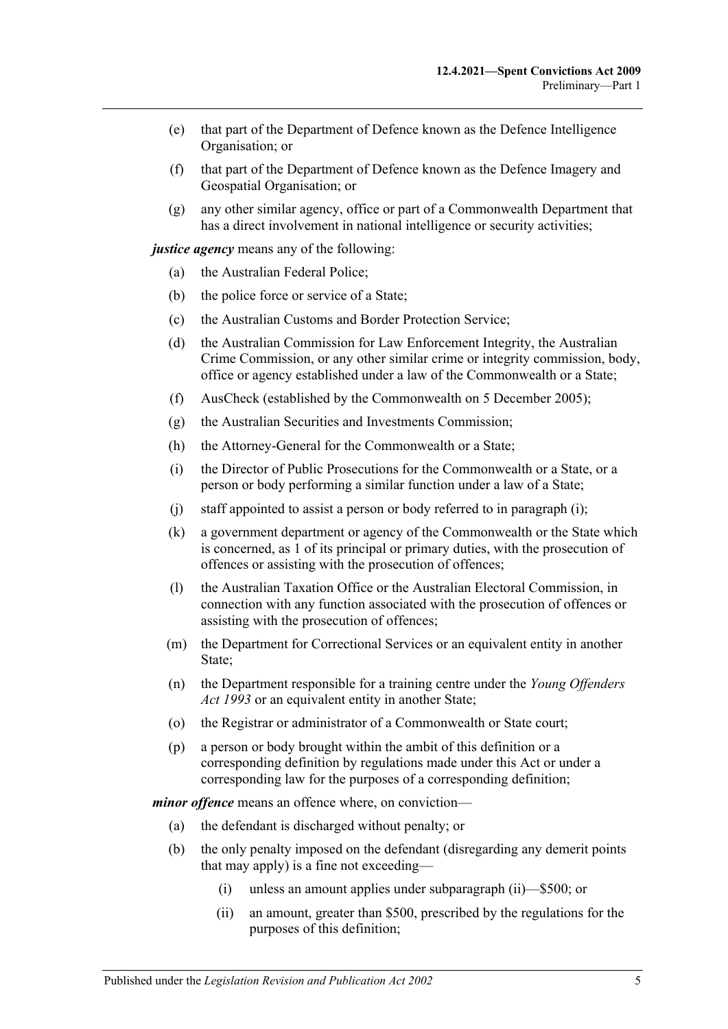- (e) that part of the Department of Defence known as the Defence Intelligence Organisation; or
- (f) that part of the Department of Defence known as the Defence Imagery and Geospatial Organisation; or
- (g) any other similar agency, office or part of a Commonwealth Department that has a direct involvement in national intelligence or security activities;

*justice agency* means any of the following:

- (a) the Australian Federal Police;
- (b) the police force or service of a State;
- (c) the Australian Customs and Border Protection Service;
- (d) the Australian Commission for Law Enforcement Integrity, the Australian Crime Commission, or any other similar crime or integrity commission, body, office or agency established under a law of the Commonwealth or a State;
- (f) AusCheck (established by the Commonwealth on 5 December 2005);
- (g) the Australian Securities and Investments Commission;
- <span id="page-4-0"></span>(h) the Attorney-General for the Commonwealth or a State;
- (i) the Director of Public Prosecutions for the Commonwealth or a State, or a person or body performing a similar function under a law of a State;
- (j) staff appointed to assist a person or body referred to in [paragraph](#page-4-0) (i);
- (k) a government department or agency of the Commonwealth or the State which is concerned, as 1 of its principal or primary duties, with the prosecution of offences or assisting with the prosecution of offences;
- (l) the Australian Taxation Office or the Australian Electoral Commission, in connection with any function associated with the prosecution of offences or assisting with the prosecution of offences;
- (m) the Department for Correctional Services or an equivalent entity in another State;
- (n) the Department responsible for a training centre under the *[Young Offenders](http://www.legislation.sa.gov.au/index.aspx?action=legref&type=act&legtitle=Young%20Offenders%20Act%201993)  Act [1993](http://www.legislation.sa.gov.au/index.aspx?action=legref&type=act&legtitle=Young%20Offenders%20Act%201993)* or an equivalent entity in another State;
- (o) the Registrar or administrator of a Commonwealth or State court;
- (p) a person or body brought within the ambit of this definition or a corresponding definition by regulations made under this Act or under a corresponding law for the purposes of a corresponding definition;

*minor offence* means an offence where, on conviction—

- (a) the defendant is discharged without penalty; or
- <span id="page-4-1"></span>(b) the only penalty imposed on the defendant (disregarding any demerit points that may apply) is a fine not exceeding—
	- (i) unless an amount applies under [subparagraph](#page-4-1) (ii)—\$500; or
	- (ii) an amount, greater than \$500, prescribed by the regulations for the purposes of this definition;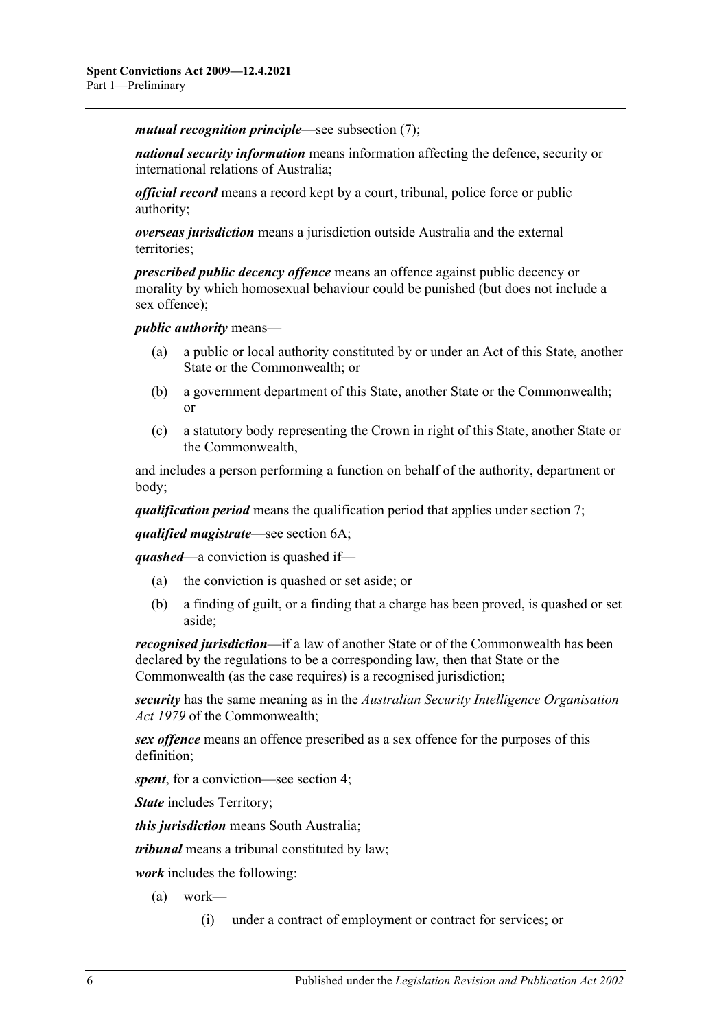*mutual recognition principle*—see [subsection](#page-6-2) (7);

*national security information* means information affecting the defence, security or international relations of Australia;

*official record* means a record kept by a court, tribunal, police force or public authority;

*overseas jurisdiction* means a jurisdiction outside Australia and the external territories;

*prescribed public decency offence* means an offence against public decency or morality by which homosexual behaviour could be punished (but does not include a sex offence);

*public authority* means—

- (a) a public or local authority constituted by or under an Act of this State, another State or the Commonwealth; or
- (b) a government department of this State, another State or the Commonwealth; or
- (c) a statutory body representing the Crown in right of this State, another State or the Commonwealth,

and includes a person performing a function on behalf of the authority, department or body;

*qualification period* means the qualification period that applies under [section](#page-9-1) 7;

*qualified magistrate*—see [section](#page-8-1) 6A;

*quashed*—a conviction is quashed if—

- (a) the conviction is quashed or set aside; or
- (b) a finding of guilt, or a finding that a charge has been proved, is quashed or set aside;

*recognised jurisdiction*—if a law of another State or of the Commonwealth has been declared by the regulations to be a corresponding law, then that State or the Commonwealth (as the case requires) is a recognised jurisdiction;

*security* has the same meaning as in the *Australian Security Intelligence Organisation Act 1979* of the Commonwealth;

*sex offence* means an offence prescribed as a sex offence for the purposes of this definition;

*spent*, for a conviction—see [section](#page-7-0) 4;

*State* includes Territory;

*this jurisdiction* means South Australia;

*tribunal* means a tribunal constituted by law;

*work* includes the following:

- (a) work—
	- (i) under a contract of employment or contract for services; or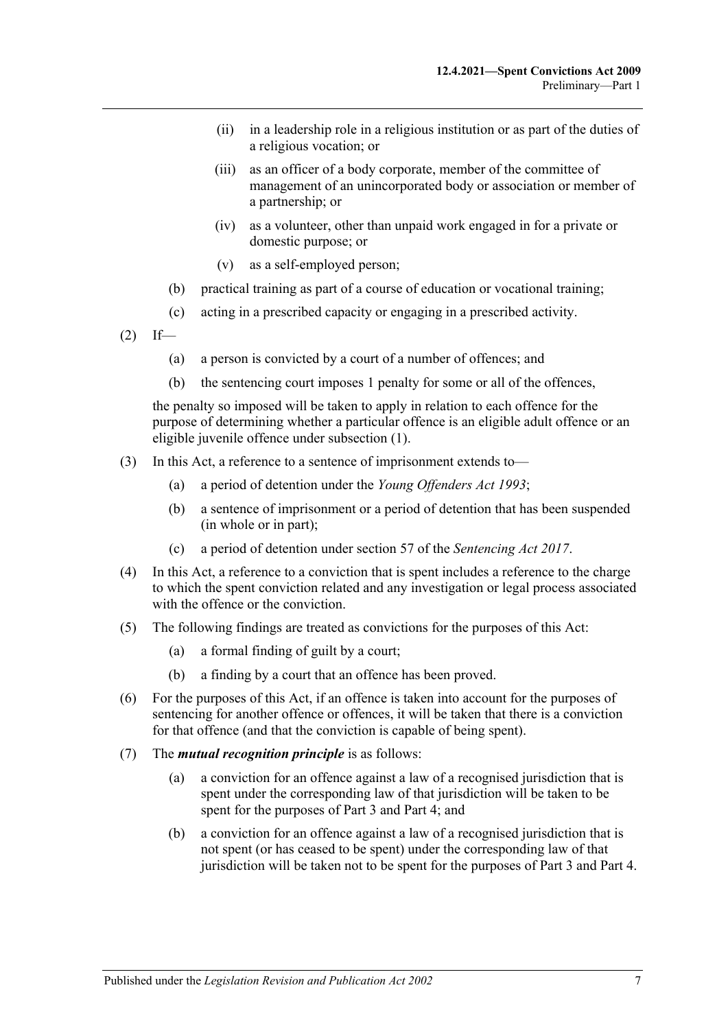- (ii) in a leadership role in a religious institution or as part of the duties of a religious vocation; or
- (iii) as an officer of a body corporate, member of the committee of management of an unincorporated body or association or member of a partnership; or
- (iv) as a volunteer, other than unpaid work engaged in for a private or domestic purpose; or
- (v) as a self-employed person;
- (b) practical training as part of a course of education or vocational training;
- (c) acting in a prescribed capacity or engaging in a prescribed activity.
- $(2)$  If—
	- (a) a person is convicted by a court of a number of offences; and
	- (b) the sentencing court imposes 1 penalty for some or all of the offences,

the penalty so imposed will be taken to apply in relation to each offence for the purpose of determining whether a particular offence is an eligible adult offence or an eligible juvenile offence under [subsection](#page-1-3) (1).

- (3) In this Act, a reference to a sentence of imprisonment extends to—
	- (a) a period of detention under the *[Young Offenders Act](http://www.legislation.sa.gov.au/index.aspx?action=legref&type=act&legtitle=Young%20Offenders%20Act%201993) 1993*;
	- (b) a sentence of imprisonment or a period of detention that has been suspended (in whole or in part);
	- (c) a period of detention under section 57 of the *[Sentencing Act](http://www.legislation.sa.gov.au/index.aspx?action=legref&type=act&legtitle=Sentencing%20Act%202017) 2017*.
- (4) In this Act, a reference to a conviction that is spent includes a reference to the charge to which the spent conviction related and any investigation or legal process associated with the offence or the conviction.
- <span id="page-6-0"></span>(5) The following findings are treated as convictions for the purposes of this Act:
	- (a) a formal finding of guilt by a court;
	- (b) a finding by a court that an offence has been proved.
- <span id="page-6-1"></span>(6) For the purposes of this Act, if an offence is taken into account for the purposes of sentencing for another offence or offences, it will be taken that there is a conviction for that offence (and that the conviction is capable of being spent).
- <span id="page-6-2"></span>(7) The *mutual recognition principle* is as follows:
	- (a) a conviction for an offence against a law of a recognised jurisdiction that is spent under the corresponding law of that jurisdiction will be taken to be spent for the purposes of [Part 3](#page-13-0) and [Part 4;](#page-15-0) and
	- (b) a conviction for an offence against a law of a recognised jurisdiction that is not spent (or has ceased to be spent) under the corresponding law of that jurisdiction will be taken not to be spent for the purposes of [Part 3](#page-13-0) and [Part 4.](#page-15-0)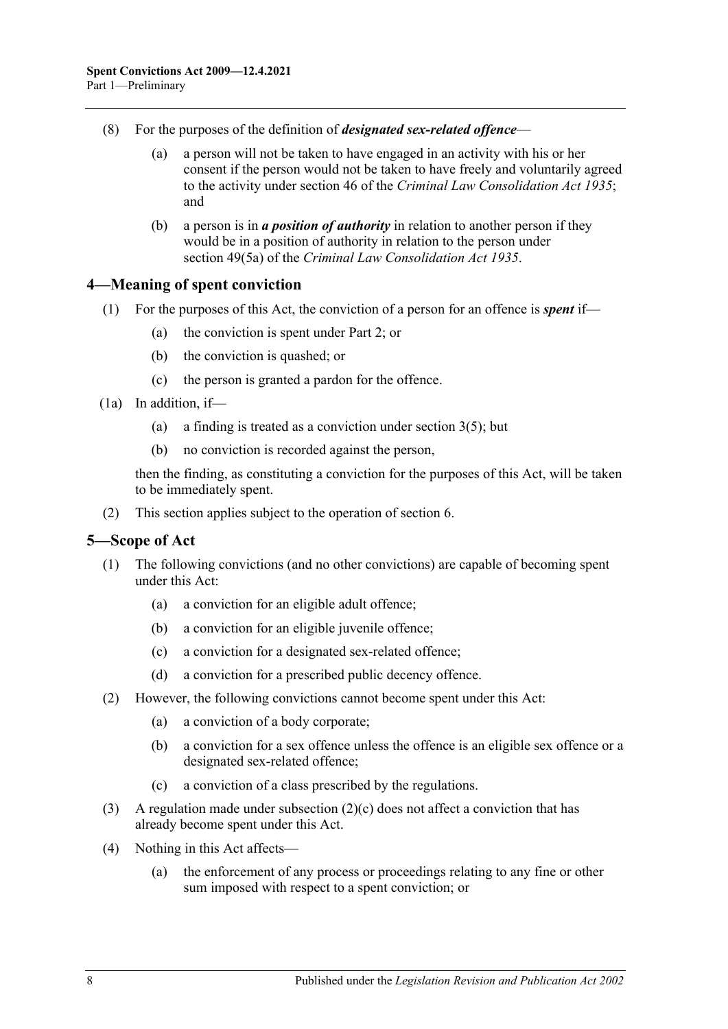- (8) For the purposes of the definition of *designated sex-related offence*
	- (a) a person will not be taken to have engaged in an activity with his or her consent if the person would not be taken to have freely and voluntarily agreed to the activity under section 46 of the *[Criminal Law Consolidation Act](http://www.legislation.sa.gov.au/index.aspx?action=legref&type=act&legtitle=Criminal%20Law%20Consolidation%20Act%201935) 1935*; and
	- (b) a person is in *a position of authority* in relation to another person if they would be in a position of authority in relation to the person under section 49(5a) of the *[Criminal Law Consolidation Act](http://www.legislation.sa.gov.au/index.aspx?action=legref&type=act&legtitle=Criminal%20Law%20Consolidation%20Act%201935) 1935*.

#### <span id="page-7-0"></span>**4—Meaning of spent conviction**

- (1) For the purposes of this Act, the conviction of a person for an offence is *spent* if—
	- (a) the conviction is spent under [Part 2;](#page-9-0) or
	- (b) the conviction is quashed; or
	- (c) the person is granted a pardon for the offence.
- <span id="page-7-3"></span>(1a) In addition, if
	- (a) a finding is treated as a conviction under [section](#page-6-0)  $3(5)$ ; but
	- (b) no conviction is recorded against the person,

then the finding, as constituting a conviction for the purposes of this Act, will be taken to be immediately spent.

(2) This section applies subject to the operation of [section](#page-8-0) 6.

#### <span id="page-7-1"></span>**5—Scope of Act**

- (1) The following convictions (and no other convictions) are capable of becoming spent under this Act:
	- (a) a conviction for an eligible adult offence;
	- (b) a conviction for an eligible juvenile offence;
	- (c) a conviction for a designated sex-related offence;
	- (d) a conviction for a prescribed public decency offence.
- (2) However, the following convictions cannot become spent under this Act:
	- (a) a conviction of a body corporate;
	- (b) a conviction for a sex offence unless the offence is an eligible sex offence or a designated sex-related offence;
	- (c) a conviction of a class prescribed by the regulations.
- <span id="page-7-2"></span>(3) A regulation made under [subsection](#page-7-2) (2)(c) does not affect a conviction that has already become spent under this Act.
- (4) Nothing in this Act affects—
	- (a) the enforcement of any process or proceedings relating to any fine or other sum imposed with respect to a spent conviction; or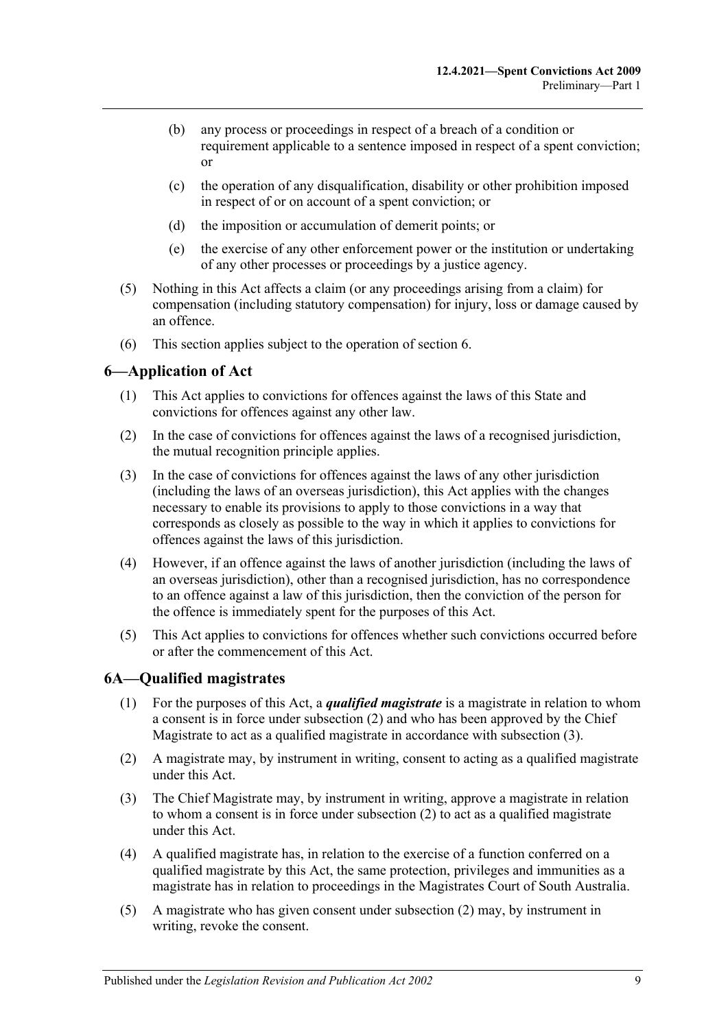- (b) any process or proceedings in respect of a breach of a condition or requirement applicable to a sentence imposed in respect of a spent conviction; or
- (c) the operation of any disqualification, disability or other prohibition imposed in respect of or on account of a spent conviction; or
- (d) the imposition or accumulation of demerit points; or
- (e) the exercise of any other enforcement power or the institution or undertaking of any other processes or proceedings by a justice agency.
- (5) Nothing in this Act affects a claim (or any proceedings arising from a claim) for compensation (including statutory compensation) for injury, loss or damage caused by an offence.
- (6) This section applies subject to the operation of [section](#page-8-0) 6.

## <span id="page-8-0"></span>**6—Application of Act**

- (1) This Act applies to convictions for offences against the laws of this State and convictions for offences against any other law.
- (2) In the case of convictions for offences against the laws of a recognised jurisdiction, the mutual recognition principle applies.
- (3) In the case of convictions for offences against the laws of any other jurisdiction (including the laws of an overseas jurisdiction), this Act applies with the changes necessary to enable its provisions to apply to those convictions in a way that corresponds as closely as possible to the way in which it applies to convictions for offences against the laws of this jurisdiction.
- (4) However, if an offence against the laws of another jurisdiction (including the laws of an overseas jurisdiction), other than a recognised jurisdiction, has no correspondence to an offence against a law of this jurisdiction, then the conviction of the person for the offence is immediately spent for the purposes of this Act.
- (5) This Act applies to convictions for offences whether such convictions occurred before or after the commencement of this Act.

## <span id="page-8-1"></span>**6A—Qualified magistrates**

- (1) For the purposes of this Act, a *qualified magistrate* is a magistrate in relation to whom a consent is in force under [subsection](#page-8-2) (2) and who has been approved by the Chief Magistrate to act as a qualified magistrate in accordance with [subsection](#page-8-3) (3).
- <span id="page-8-2"></span>(2) A magistrate may, by instrument in writing, consent to acting as a qualified magistrate under this Act.
- <span id="page-8-3"></span>(3) The Chief Magistrate may, by instrument in writing, approve a magistrate in relation to whom a consent is in force under [subsection](#page-8-2) (2) to act as a qualified magistrate under this Act.
- (4) A qualified magistrate has, in relation to the exercise of a function conferred on a qualified magistrate by this Act, the same protection, privileges and immunities as a magistrate has in relation to proceedings in the Magistrates Court of South Australia.
- <span id="page-8-4"></span>(5) A magistrate who has given consent under [subsection](#page-8-2) (2) may, by instrument in writing, revoke the consent.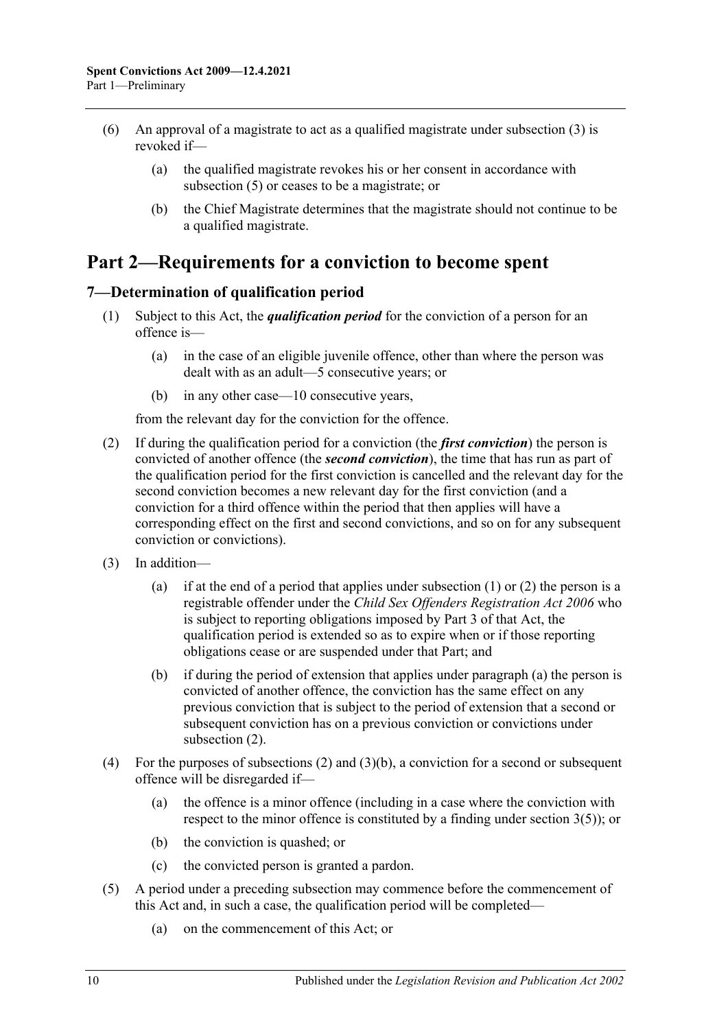- (6) An approval of a magistrate to act as a qualified magistrate under [subsection](#page-8-3) (3) is revoked if—
	- (a) the qualified magistrate revokes his or her consent in accordance with [subsection](#page-8-4) (5) or ceases to be a magistrate; or
	- (b) the Chief Magistrate determines that the magistrate should not continue to be a qualified magistrate.

## <span id="page-9-0"></span>**Part 2—Requirements for a conviction to become spent**

## <span id="page-9-2"></span><span id="page-9-1"></span>**7—Determination of qualification period**

- (1) Subject to this Act, the *qualification period* for the conviction of a person for an offence is—
	- (a) in the case of an eligible juvenile offence, other than where the person was dealt with as an adult—5 consecutive years; or
	- (b) in any other case—10 consecutive years,

from the relevant day for the conviction for the offence.

- <span id="page-9-3"></span>(2) If during the qualification period for a conviction (the *first conviction*) the person is convicted of another offence (the *second conviction*), the time that has run as part of the qualification period for the first conviction is cancelled and the relevant day for the second conviction becomes a new relevant day for the first conviction (and a conviction for a third offence within the period that then applies will have a corresponding effect on the first and second convictions, and so on for any subsequent conviction or convictions).
- <span id="page-9-4"></span>(3) In addition
	- (a) if at the end of a period that applies under [subsection](#page-9-2)  $(1)$  or  $(2)$  the person is a registrable offender under the *[Child Sex Offenders Registration Act](http://www.legislation.sa.gov.au/index.aspx?action=legref&type=act&legtitle=Child%20Sex%20Offenders%20Registration%20Act%202006) 2006* who is subject to reporting obligations imposed by Part 3 of that Act, the qualification period is extended so as to expire when or if those reporting obligations cease or are suspended under that Part; and
	- (b) if during the period of extension that applies under [paragraph](#page-9-4) (a) the person is convicted of another offence, the conviction has the same effect on any previous conviction that is subject to the period of extension that a second or subsequent conviction has on a previous conviction or convictions under [subsection](#page-9-3) (2).
- <span id="page-9-5"></span>(4) For the purposes of [subsections](#page-9-3) (2) and [\(3\)\(b\),](#page-9-5) a conviction for a second or subsequent offence will be disregarded if—
	- (a) the offence is a minor offence (including in a case where the conviction with respect to the minor offence is constituted by a finding under [section](#page-6-0) 3(5)); or
	- (b) the conviction is quashed; or
	- (c) the convicted person is granted a pardon.
- (5) A period under a preceding subsection may commence before the commencement of this Act and, in such a case, the qualification period will be completed—
	- (a) on the commencement of this Act; or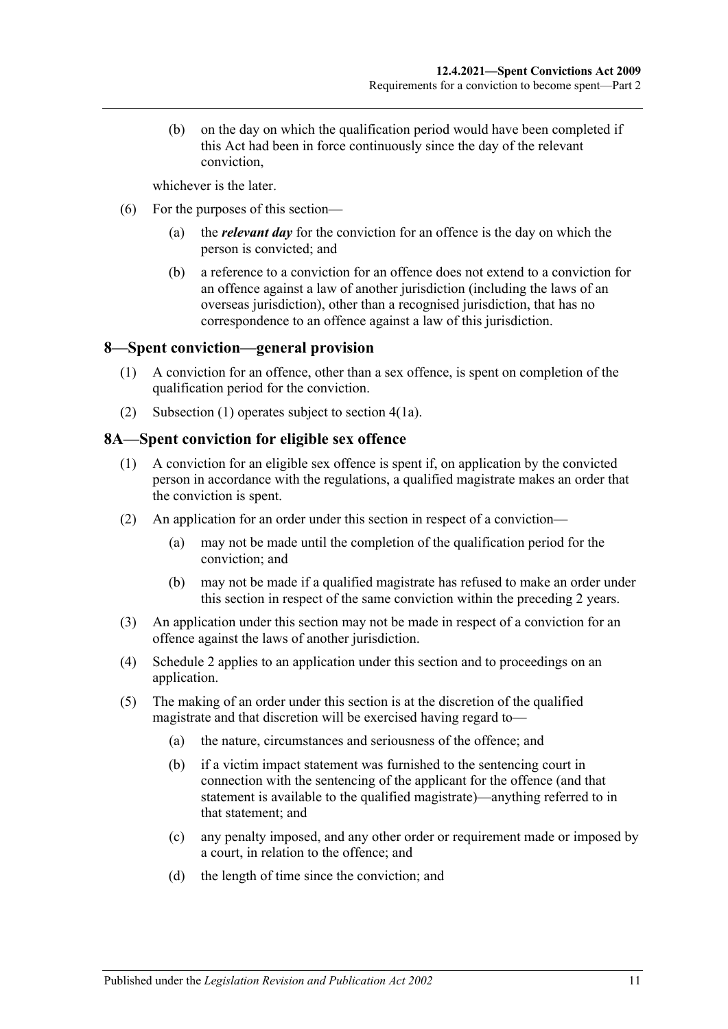(b) on the day on which the qualification period would have been completed if this Act had been in force continuously since the day of the relevant conviction,

whichever is the later.

- (6) For the purposes of this section—
	- (a) the *relevant day* for the conviction for an offence is the day on which the person is convicted; and
	- (b) a reference to a conviction for an offence does not extend to a conviction for an offence against a law of another jurisdiction (including the laws of an overseas jurisdiction), other than a recognised jurisdiction, that has no correspondence to an offence against a law of this jurisdiction.

#### <span id="page-10-2"></span><span id="page-10-0"></span>**8—Spent conviction—general provision**

- (1) A conviction for an offence, other than a sex offence, is spent on completion of the qualification period for the conviction.
- (2) [Subsection](#page-10-2) (1) operates subject to [section](#page-7-3) 4(1a).

#### <span id="page-10-1"></span>**8A—Spent conviction for eligible sex offence**

- (1) A conviction for an eligible sex offence is spent if, on application by the convicted person in accordance with the regulations, a qualified magistrate makes an order that the conviction is spent.
- (2) An application for an order under this section in respect of a conviction—
	- (a) may not be made until the completion of the qualification period for the conviction; and
	- (b) may not be made if a qualified magistrate has refused to make an order under this section in respect of the same conviction within the preceding 2 years.
- (3) An application under this section may not be made in respect of a conviction for an offence against the laws of another jurisdiction.
- (4) [Schedule 2](#page-21-3) applies to an application under this section and to proceedings on an application.
- (5) The making of an order under this section is at the discretion of the qualified magistrate and that discretion will be exercised having regard to—
	- (a) the nature, circumstances and seriousness of the offence; and
	- (b) if a victim impact statement was furnished to the sentencing court in connection with the sentencing of the applicant for the offence (and that statement is available to the qualified magistrate)—anything referred to in that statement; and
	- (c) any penalty imposed, and any other order or requirement made or imposed by a court, in relation to the offence; and
	- (d) the length of time since the conviction; and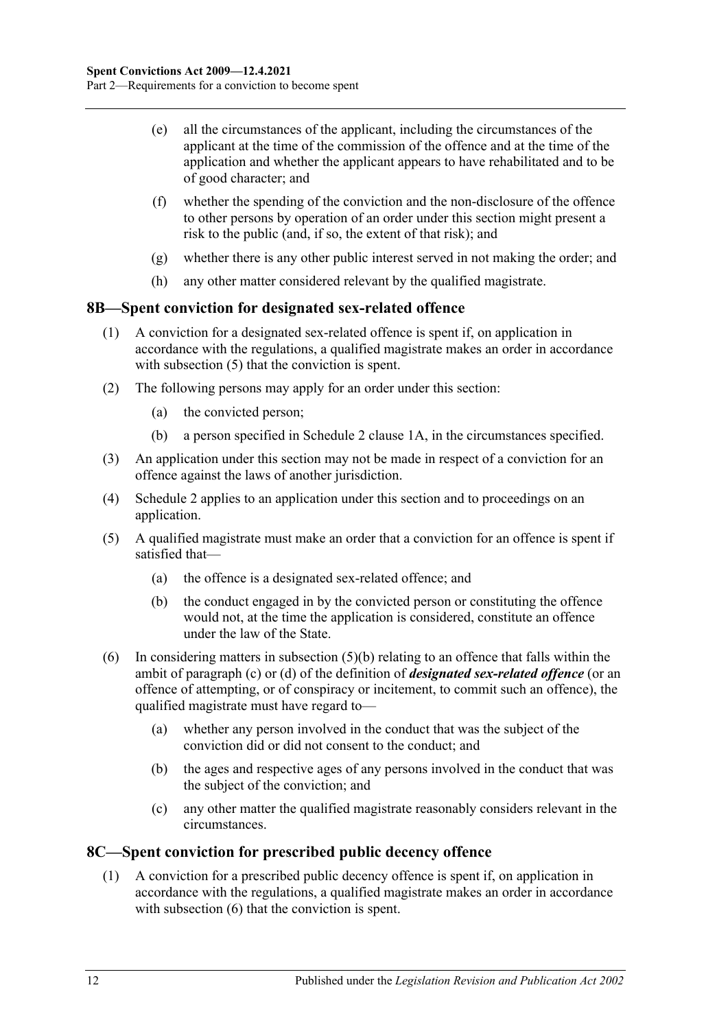- (e) all the circumstances of the applicant, including the circumstances of the applicant at the time of the commission of the offence and at the time of the application and whether the applicant appears to have rehabilitated and to be of good character; and
- (f) whether the spending of the conviction and the non-disclosure of the offence to other persons by operation of an order under this section might present a risk to the public (and, if so, the extent of that risk); and
- (g) whether there is any other public interest served in not making the order; and
- (h) any other matter considered relevant by the qualified magistrate.

## <span id="page-11-0"></span>**8B—Spent conviction for designated sex-related offence**

- (1) A conviction for a designated sex-related offence is spent if, on application in accordance with the regulations, a qualified magistrate makes an order in accordance with [subsection](#page-11-2) (5) that the conviction is spent.
- (2) The following persons may apply for an order under this section:
	- (a) the convicted person;
	- (b) a person specified in [Schedule](#page-21-5) 2 clause 1A, in the circumstances specified.
- (3) An application under this section may not be made in respect of a conviction for an offence against the laws of another jurisdiction.
- (4) [Schedule 2](#page-21-3) applies to an application under this section and to proceedings on an application.
- <span id="page-11-3"></span><span id="page-11-2"></span>(5) A qualified magistrate must make an order that a conviction for an offence is spent if satisfied that—
	- (a) the offence is a designated sex-related offence; and
	- (b) the conduct engaged in by the convicted person or constituting the offence would not, at the time the application is considered, constitute an offence under the law of the State.
- (6) In considering matters in [subsection](#page-11-3)  $(5)(b)$  relating to an offence that falls within the ambit of [paragraph](#page-3-0) (c) or [\(d\)](#page-3-1) of the definition of *designated sex-related offence* (or an offence of attempting, or of conspiracy or incitement, to commit such an offence), the qualified magistrate must have regard to—
	- (a) whether any person involved in the conduct that was the subject of the conviction did or did not consent to the conduct; and
	- (b) the ages and respective ages of any persons involved in the conduct that was the subject of the conviction; and
	- (c) any other matter the qualified magistrate reasonably considers relevant in the circumstances.

## <span id="page-11-1"></span>**8C—Spent conviction for prescribed public decency offence**

(1) A conviction for a prescribed public decency offence is spent if, on application in accordance with the regulations, a qualified magistrate makes an order in accordance with [subsection](#page-12-1) (6) that the conviction is spent.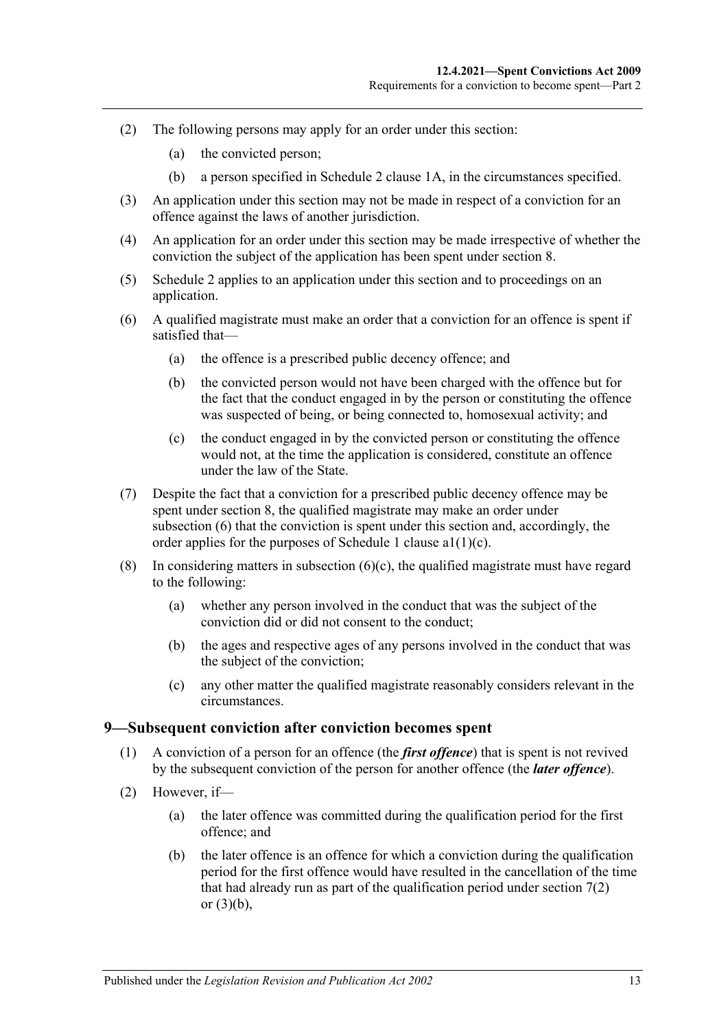- (2) The following persons may apply for an order under this section:
	- (a) the convicted person;
	- (b) a person specified in [Schedule](#page-21-5) 2 clause 1A, in the circumstances specified.
- (3) An application under this section may not be made in respect of a conviction for an offence against the laws of another jurisdiction.
- (4) An application for an order under this section may be made irrespective of whether the conviction the subject of the application has been spent under [section](#page-10-0) 8.
- (5) [Schedule 2](#page-21-3) applies to an application under this section and to proceedings on an application.
- <span id="page-12-1"></span>(6) A qualified magistrate must make an order that a conviction for an offence is spent if satisfied that—
	- (a) the offence is a prescribed public decency offence; and
	- (b) the convicted person would not have been charged with the offence but for the fact that the conduct engaged in by the person or constituting the offence was suspected of being, or being connected to, homosexual activity; and
	- (c) the conduct engaged in by the convicted person or constituting the offence would not, at the time the application is considered, constitute an offence under the law of the State.
- <span id="page-12-2"></span>(7) Despite the fact that a conviction for a prescribed public decency offence may be spent under [section](#page-10-0) 8, the qualified magistrate may make an order under [subsection](#page-12-1) (6) that the conviction is spent under this section and, accordingly, the order applies for the purposes of [Schedule](#page-16-3) 1 clause  $a1(1)(c)$ .
- (8) In considering matters in [subsection](#page-12-2)  $(6)(c)$ , the qualified magistrate must have regard to the following:
	- (a) whether any person involved in the conduct that was the subject of the conviction did or did not consent to the conduct;
	- (b) the ages and respective ages of any persons involved in the conduct that was the subject of the conviction;
	- (c) any other matter the qualified magistrate reasonably considers relevant in the circumstances.

#### <span id="page-12-0"></span>**9—Subsequent conviction after conviction becomes spent**

- (1) A conviction of a person for an offence (the *first offence*) that is spent is not revived by the subsequent conviction of the person for another offence (the *later offence*).
- (2) However, if—
	- (a) the later offence was committed during the qualification period for the first offence; and
	- (b) the later offence is an offence for which a conviction during the qualification period for the first offence would have resulted in the cancellation of the time that had already run as part of the qualification period under [section](#page-9-3) 7(2) or [\(3\)\(b\),](#page-9-5)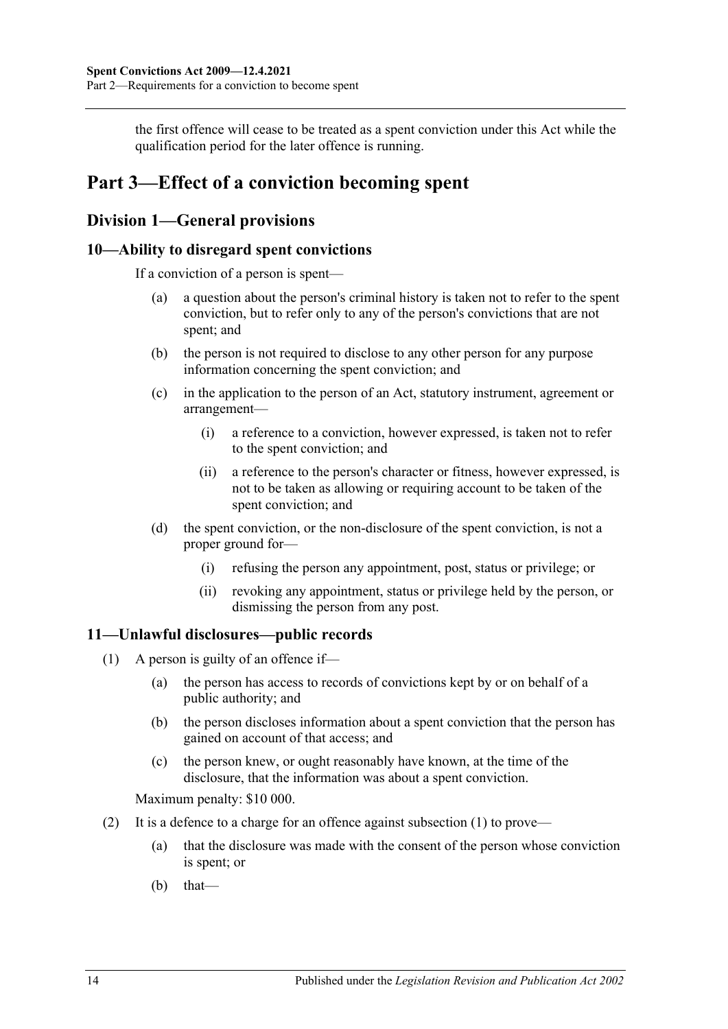the first offence will cease to be treated as a spent conviction under this Act while the qualification period for the later offence is running.

## <span id="page-13-0"></span>**Part 3—Effect of a conviction becoming spent**

## <span id="page-13-1"></span>**Division 1—General provisions**

## <span id="page-13-2"></span>**10—Ability to disregard spent convictions**

If a conviction of a person is spent—

- (a) a question about the person's criminal history is taken not to refer to the spent conviction, but to refer only to any of the person's convictions that are not spent; and
- (b) the person is not required to disclose to any other person for any purpose information concerning the spent conviction; and
- (c) in the application to the person of an Act, statutory instrument, agreement or arrangement—
	- (i) a reference to a conviction, however expressed, is taken not to refer to the spent conviction; and
	- (ii) a reference to the person's character or fitness, however expressed, is not to be taken as allowing or requiring account to be taken of the spent conviction; and
- (d) the spent conviction, or the non-disclosure of the spent conviction, is not a proper ground for—
	- (i) refusing the person any appointment, post, status or privilege; or
	- (ii) revoking any appointment, status or privilege held by the person, or dismissing the person from any post.

## <span id="page-13-4"></span><span id="page-13-3"></span>**11—Unlawful disclosures—public records**

- (1) A person is guilty of an offence if—
	- (a) the person has access to records of convictions kept by or on behalf of a public authority; and
	- (b) the person discloses information about a spent conviction that the person has gained on account of that access; and
	- (c) the person knew, or ought reasonably have known, at the time of the disclosure, that the information was about a spent conviction.

Maximum penalty: \$10 000.

- (2) It is a defence to a charge for an offence against [subsection](#page-13-4) (1) to prove—
	- (a) that the disclosure was made with the consent of the person whose conviction is spent; or
	- $(b)$  that—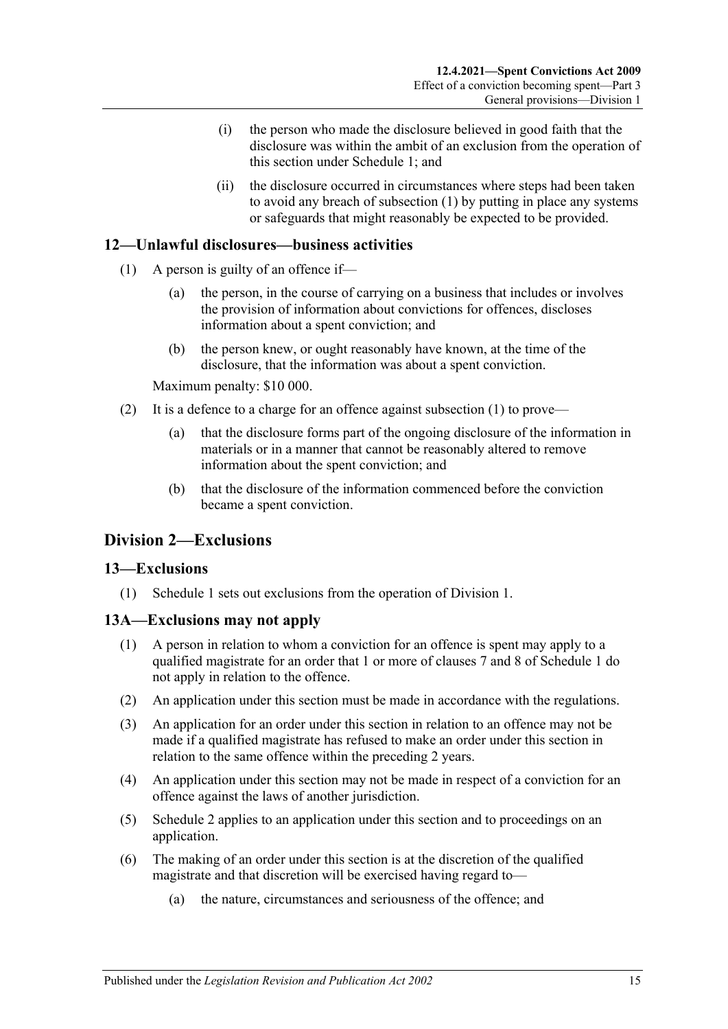- (i) the person who made the disclosure believed in good faith that the disclosure was within the ambit of an exclusion from the operation of this section under [Schedule 1;](#page-16-0) and
- (ii) the disclosure occurred in circumstances where steps had been taken to avoid any breach of [subsection](#page-13-4) (1) by putting in place any systems or safeguards that might reasonably be expected to be provided.

## <span id="page-14-4"></span><span id="page-14-0"></span>**12—Unlawful disclosures—business activities**

- (1) A person is guilty of an offence if—
	- (a) the person, in the course of carrying on a business that includes or involves the provision of information about convictions for offences, discloses information about a spent conviction; and
	- (b) the person knew, or ought reasonably have known, at the time of the disclosure, that the information was about a spent conviction.

Maximum penalty: \$10 000.

- (2) It is a defence to a charge for an offence against [subsection](#page-14-4) (1) to prove—
	- (a) that the disclosure forms part of the ongoing disclosure of the information in materials or in a manner that cannot be reasonably altered to remove information about the spent conviction; and
	- (b) that the disclosure of the information commenced before the conviction became a spent conviction.

## <span id="page-14-1"></span>**Division 2—Exclusions**

## <span id="page-14-2"></span>**13—Exclusions**

(1) [Schedule 1](#page-16-0) sets out exclusions from the operation of [Division 1.](#page-13-1)

## <span id="page-14-3"></span>**13A—Exclusions may not apply**

- (1) A person in relation to whom a conviction for an offence is spent may apply to a qualified magistrate for an order that 1 or more of clauses [7](#page-18-1) and [8](#page-19-0) of [Schedule 1](#page-16-0) do not apply in relation to the offence.
- (2) An application under this section must be made in accordance with the regulations.
- (3) An application for an order under this section in relation to an offence may not be made if a qualified magistrate has refused to make an order under this section in relation to the same offence within the preceding 2 years.
- (4) An application under this section may not be made in respect of a conviction for an offence against the laws of another jurisdiction.
- (5) [Schedule 2](#page-21-3) applies to an application under this section and to proceedings on an application.
- (6) The making of an order under this section is at the discretion of the qualified magistrate and that discretion will be exercised having regard to—
	- (a) the nature, circumstances and seriousness of the offence; and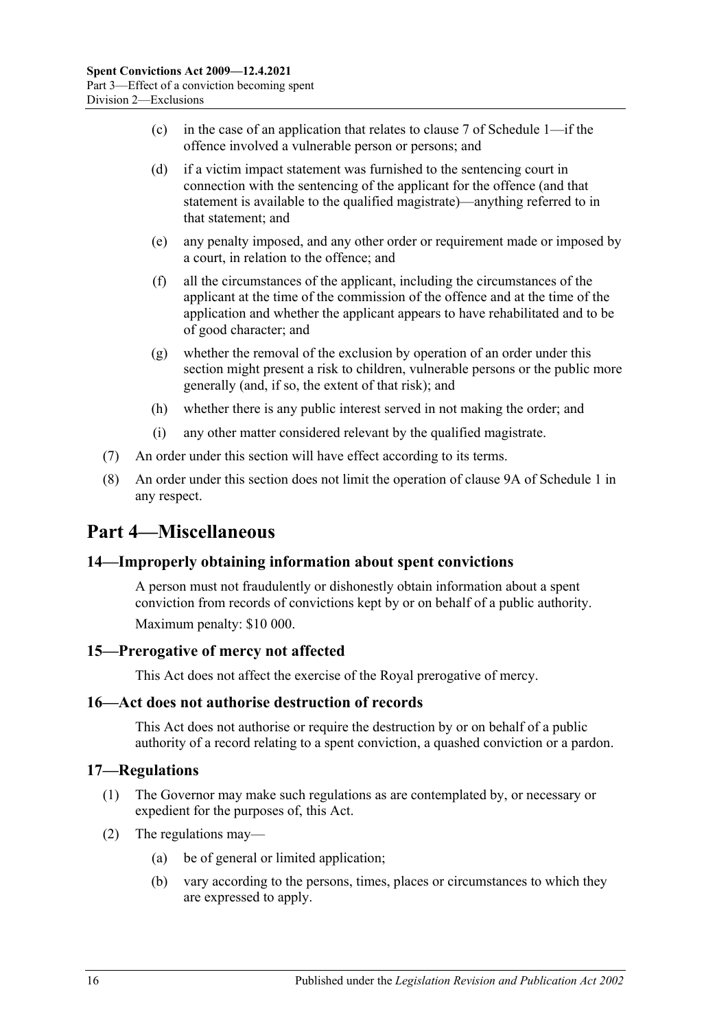- (c) in the case of an application that relates to [clause](#page-18-1) 7 of [Schedule 1—](#page-16-0)if the offence involved a vulnerable person or persons; and
- (d) if a victim impact statement was furnished to the sentencing court in connection with the sentencing of the applicant for the offence (and that statement is available to the qualified magistrate)—anything referred to in that statement; and
- (e) any penalty imposed, and any other order or requirement made or imposed by a court, in relation to the offence; and
- (f) all the circumstances of the applicant, including the circumstances of the applicant at the time of the commission of the offence and at the time of the application and whether the applicant appears to have rehabilitated and to be of good character; and
- (g) whether the removal of the exclusion by operation of an order under this section might present a risk to children, vulnerable persons or the public more generally (and, if so, the extent of that risk); and
- (h) whether there is any public interest served in not making the order; and
- (i) any other matter considered relevant by the qualified magistrate.
- (7) An order under this section will have effect according to its terms.
- (8) An order under this section does not limit the operation of [clause](#page-19-2) 9A of [Schedule 1](#page-16-0) in any respect.

## <span id="page-15-0"></span>**Part 4—Miscellaneous**

#### <span id="page-15-1"></span>**14—Improperly obtaining information about spent convictions**

A person must not fraudulently or dishonestly obtain information about a spent conviction from records of convictions kept by or on behalf of a public authority. Maximum penalty: \$10 000.

## <span id="page-15-2"></span>**15—Prerogative of mercy not affected**

This Act does not affect the exercise of the Royal prerogative of mercy.

#### <span id="page-15-3"></span>**16—Act does not authorise destruction of records**

This Act does not authorise or require the destruction by or on behalf of a public authority of a record relating to a spent conviction, a quashed conviction or a pardon.

#### <span id="page-15-4"></span>**17—Regulations**

- (1) The Governor may make such regulations as are contemplated by, or necessary or expedient for the purposes of, this Act.
- (2) The regulations may—
	- (a) be of general or limited application;
	- (b) vary according to the persons, times, places or circumstances to which they are expressed to apply.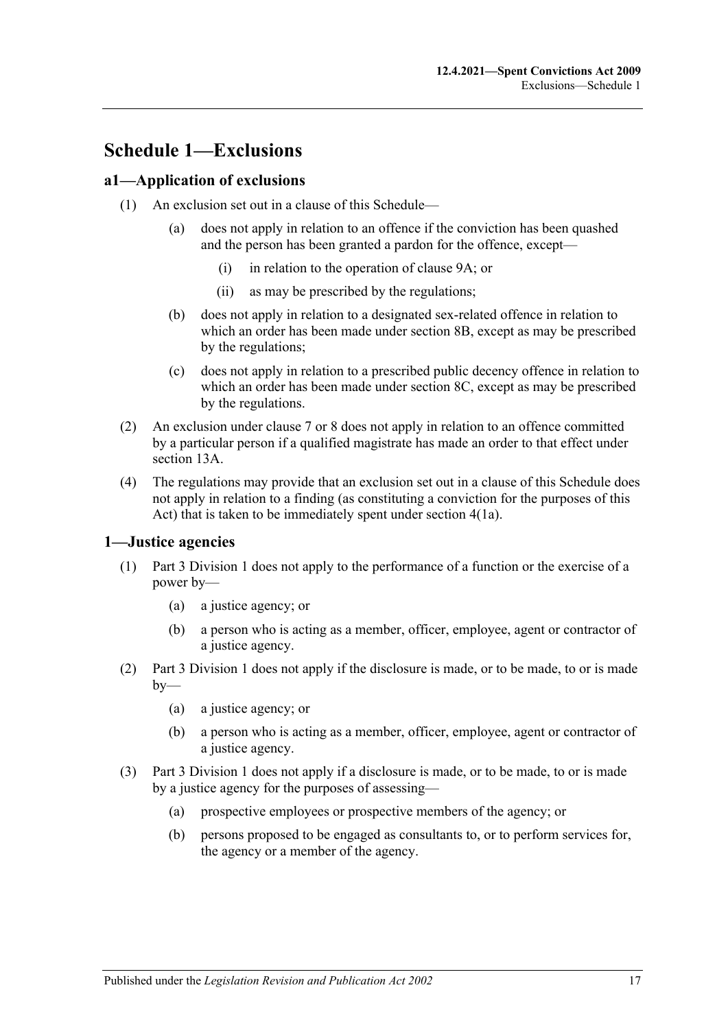## <span id="page-16-0"></span>**Schedule 1—Exclusions**

### <span id="page-16-1"></span>**a1—Application of exclusions**

- (1) An exclusion set out in a clause of this Schedule—
	- (a) does not apply in relation to an offence if the conviction has been quashed and the person has been granted a pardon for the offence, except—
		- (i) in relation to the operation of [clause](#page-19-2) 9A; or
		- (ii) as may be prescribed by the regulations;
	- (b) does not apply in relation to a designated sex-related offence in relation to which an order has been made under [section](#page-10-1) [8B,](#page-11-0) except as may be prescribed by the regulations;
	- (c) does not apply in relation to a prescribed public decency offence in relation to which an order has been made under [section](#page-11-1) 8C, except as may be prescribed by the regulations.
- <span id="page-16-3"></span>(2) An exclusion under clause 7 or 8 does not apply in relation to an offence committed by a particular person if a qualified magistrate has made an order to that effect under [section](#page-14-3) 13A.
- (4) The regulations may provide that an exclusion set out in a clause of this Schedule does not apply in relation to a finding (as constituting a conviction for the purposes of this Act) that is taken to be immediately spent under section 4(1a).

#### <span id="page-16-2"></span>**1—Justice agencies**

- (1) [Part 3 Division 1](#page-13-1) does not apply to the performance of a function or the exercise of a power by—
	- (a) a justice agency; or
	- (b) a person who is acting as a member, officer, employee, agent or contractor of a justice agency.
- (2) [Part 3 Division 1](#page-13-1) does not apply if the disclosure is made, or to be made, to or is made  $by-$ 
	- (a) a justice agency; or
	- (b) a person who is acting as a member, officer, employee, agent or contractor of a justice agency.
- (3) [Part 3 Division 1](#page-13-1) does not apply if a disclosure is made, or to be made, to or is made by a justice agency for the purposes of assessing—
	- (a) prospective employees or prospective members of the agency; or
	- (b) persons proposed to be engaged as consultants to, or to perform services for, the agency or a member of the agency.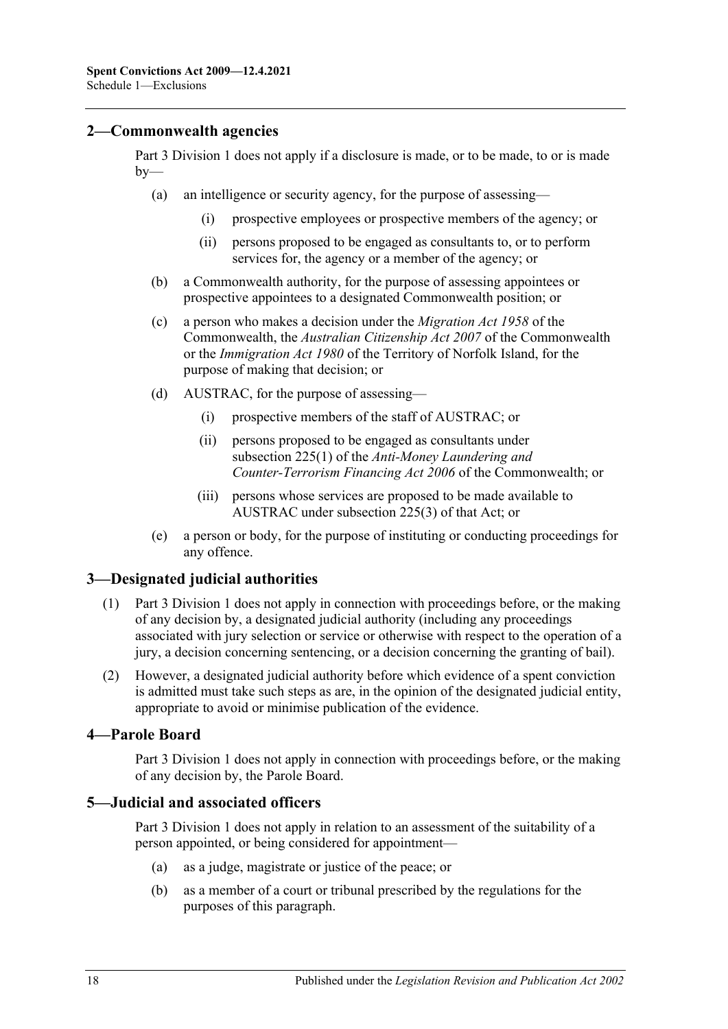### <span id="page-17-0"></span>**2—Commonwealth agencies**

[Part 3 Division 1](#page-13-1) does not apply if a disclosure is made, or to be made, to or is made  $by-$ 

- (a) an intelligence or security agency, for the purpose of assessing—
	- (i) prospective employees or prospective members of the agency; or
	- (ii) persons proposed to be engaged as consultants to, or to perform services for, the agency or a member of the agency; or
- (b) a Commonwealth authority, for the purpose of assessing appointees or prospective appointees to a designated Commonwealth position; or
- (c) a person who makes a decision under the *Migration Act 1958* of the Commonwealth, the *Australian Citizenship Act 2007* of the Commonwealth or the *Immigration Act 1980* of the Territory of Norfolk Island, for the purpose of making that decision; or
- (d) AUSTRAC, for the purpose of assessing—
	- (i) prospective members of the staff of AUSTRAC; or
	- (ii) persons proposed to be engaged as consultants under subsection 225(1) of the *Anti-Money Laundering and Counter-Terrorism Financing Act 2006* of the Commonwealth; or
	- (iii) persons whose services are proposed to be made available to AUSTRAC under subsection 225(3) of that Act; or
- (e) a person or body, for the purpose of instituting or conducting proceedings for any offence.

## <span id="page-17-1"></span>**3—Designated judicial authorities**

- (1) [Part 3 Division 1](#page-13-1) does not apply in connection with proceedings before, or the making of any decision by, a designated judicial authority (including any proceedings associated with jury selection or service or otherwise with respect to the operation of a jury, a decision concerning sentencing, or a decision concerning the granting of bail).
- (2) However, a designated judicial authority before which evidence of a spent conviction is admitted must take such steps as are, in the opinion of the designated judicial entity, appropriate to avoid or minimise publication of the evidence.

#### <span id="page-17-2"></span>**4—Parole Board**

[Part 3 Division 1](#page-13-1) does not apply in connection with proceedings before, or the making of any decision by, the Parole Board.

#### <span id="page-17-3"></span>**5—Judicial and associated officers**

[Part 3 Division 1](#page-13-1) does not apply in relation to an assessment of the suitability of a person appointed, or being considered for appointment—

- (a) as a judge, magistrate or justice of the peace; or
- (b) as a member of a court or tribunal prescribed by the regulations for the purposes of this paragraph.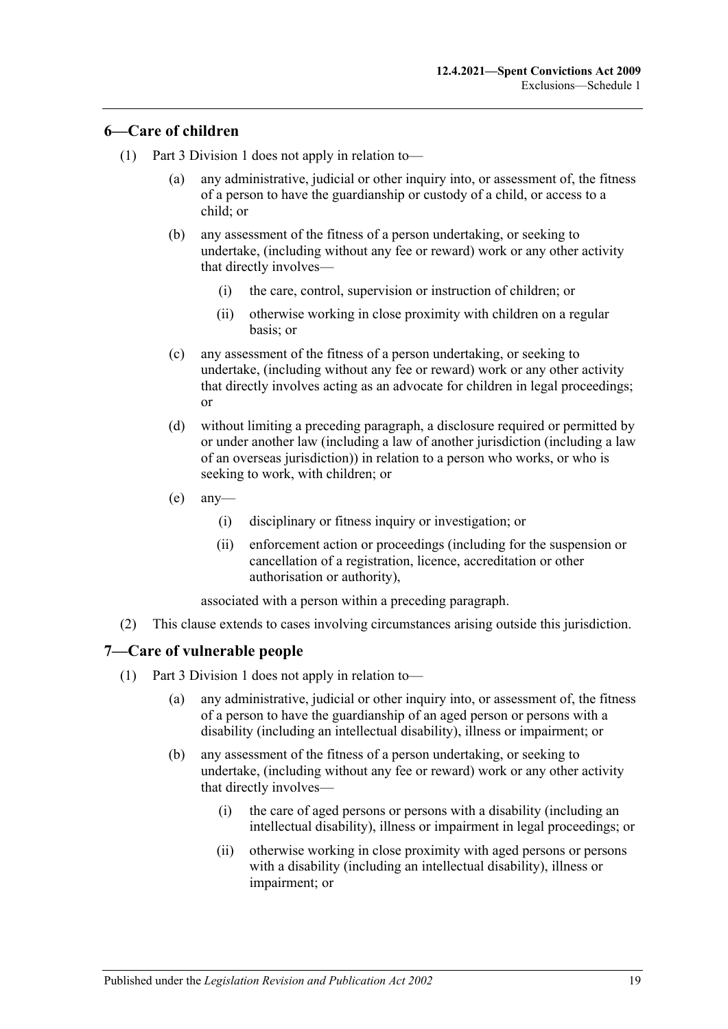## <span id="page-18-0"></span>**6—Care of children**

- (1) [Part 3 Division 1](#page-13-1) does not apply in relation to—
	- (a) any administrative, judicial or other inquiry into, or assessment of, the fitness of a person to have the guardianship or custody of a child, or access to a child; or
	- (b) any assessment of the fitness of a person undertaking, or seeking to undertake, (including without any fee or reward) work or any other activity that directly involves—
		- (i) the care, control, supervision or instruction of children; or
		- (ii) otherwise working in close proximity with children on a regular basis; or
	- (c) any assessment of the fitness of a person undertaking, or seeking to undertake, (including without any fee or reward) work or any other activity that directly involves acting as an advocate for children in legal proceedings; or
	- (d) without limiting a preceding paragraph, a disclosure required or permitted by or under another law (including a law of another jurisdiction (including a law of an overseas jurisdiction)) in relation to a person who works, or who is seeking to work, with children; or
	- $(e)$  any-
		- (i) disciplinary or fitness inquiry or investigation; or
		- (ii) enforcement action or proceedings (including for the suspension or cancellation of a registration, licence, accreditation or other authorisation or authority),

associated with a person within a preceding paragraph.

(2) This clause extends to cases involving circumstances arising outside this jurisdiction.

## <span id="page-18-1"></span>**7—Care of vulnerable people**

- (1) [Part 3 Division 1](#page-13-1) does not apply in relation to—
	- (a) any administrative, judicial or other inquiry into, or assessment of, the fitness of a person to have the guardianship of an aged person or persons with a disability (including an intellectual disability), illness or impairment; or
	- (b) any assessment of the fitness of a person undertaking, or seeking to undertake, (including without any fee or reward) work or any other activity that directly involves—
		- (i) the care of aged persons or persons with a disability (including an intellectual disability), illness or impairment in legal proceedings; or
		- (ii) otherwise working in close proximity with aged persons or persons with a disability (including an intellectual disability), illness or impairment; or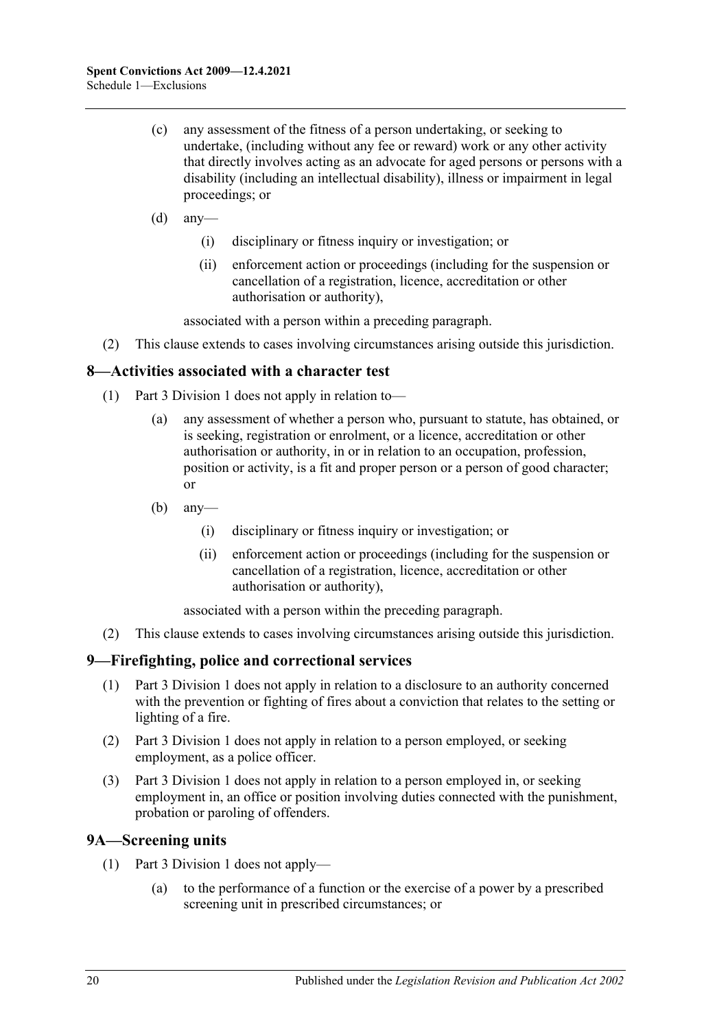- (c) any assessment of the fitness of a person undertaking, or seeking to undertake, (including without any fee or reward) work or any other activity that directly involves acting as an advocate for aged persons or persons with a disability (including an intellectual disability), illness or impairment in legal proceedings; or
- $(d)$  any-
	- (i) disciplinary or fitness inquiry or investigation; or
	- (ii) enforcement action or proceedings (including for the suspension or cancellation of a registration, licence, accreditation or other authorisation or authority),

associated with a person within a preceding paragraph.

(2) This clause extends to cases involving circumstances arising outside this jurisdiction.

## <span id="page-19-0"></span>**8—Activities associated with a character test**

- (1) [Part 3 Division 1](#page-13-1) does not apply in relation to—
	- (a) any assessment of whether a person who, pursuant to statute, has obtained, or is seeking, registration or enrolment, or a licence, accreditation or other authorisation or authority, in or in relation to an occupation, profession, position or activity, is a fit and proper person or a person of good character; or
	- $(b)$  any—
		- (i) disciplinary or fitness inquiry or investigation; or
		- (ii) enforcement action or proceedings (including for the suspension or cancellation of a registration, licence, accreditation or other authorisation or authority),

associated with a person within the preceding paragraph.

(2) This clause extends to cases involving circumstances arising outside this jurisdiction.

#### <span id="page-19-1"></span>**9—Firefighting, police and correctional services**

- (1) [Part 3 Division 1](#page-13-1) does not apply in relation to a disclosure to an authority concerned with the prevention or fighting of fires about a conviction that relates to the setting or lighting of a fire.
- (2) [Part 3 Division 1](#page-13-1) does not apply in relation to a person employed, or seeking employment, as a police officer.
- (3) [Part 3 Division 1](#page-13-1) does not apply in relation to a person employed in, or seeking employment in, an office or position involving duties connected with the punishment, probation or paroling of offenders.

## <span id="page-19-3"></span><span id="page-19-2"></span>**9A—Screening units**

- (1) [Part 3 Division 1](#page-13-1) does not apply—
	- (a) to the performance of a function or the exercise of a power by a prescribed screening unit in prescribed circumstances; or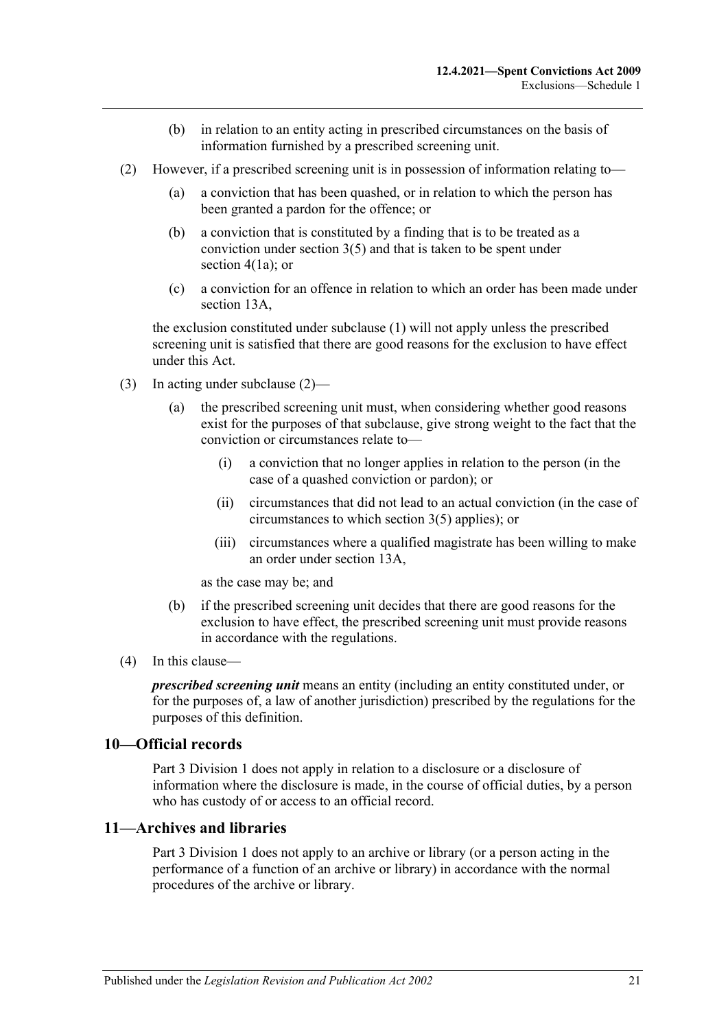- (b) in relation to an entity acting in prescribed circumstances on the basis of information furnished by a prescribed screening unit.
- <span id="page-20-2"></span>(2) However, if a prescribed screening unit is in possession of information relating to—
	- (a) a conviction that has been quashed, or in relation to which the person has been granted a pardon for the offence; or
	- (b) a conviction that is constituted by a finding that is to be treated as a conviction under [section](#page-6-0) 3(5) and that is taken to be spent under [section](#page-7-3) 4(1a); or
	- (c) a conviction for an offence in relation to which an order has been made under [section](#page-14-3) 13A,

the exclusion constituted under [subclause](#page-19-3) (1) will not apply unless the prescribed screening unit is satisfied that there are good reasons for the exclusion to have effect under this Act.

- (3) In acting under [subclause](#page-20-2) (2)—
	- (a) the prescribed screening unit must, when considering whether good reasons exist for the purposes of that subclause, give strong weight to the fact that the conviction or circumstances relate to—
		- (i) a conviction that no longer applies in relation to the person (in the case of a quashed conviction or pardon); or
		- (ii) circumstances that did not lead to an actual conviction (in the case of circumstances to which [section](#page-6-0) 3(5) applies); or
		- (iii) circumstances where a qualified magistrate has been willing to make an order under [section](#page-14-3) 13A,

as the case may be; and

- (b) if the prescribed screening unit decides that there are good reasons for the exclusion to have effect, the prescribed screening unit must provide reasons in accordance with the regulations.
- (4) In this clause—

*prescribed screening unit* means an entity (including an entity constituted under, or for the purposes of, a law of another jurisdiction) prescribed by the regulations for the purposes of this definition.

#### <span id="page-20-0"></span>**10—Official records**

[Part 3 Division 1](#page-13-1) does not apply in relation to a disclosure or a disclosure of information where the disclosure is made, in the course of official duties, by a person who has custody of or access to an official record.

#### <span id="page-20-1"></span>**11—Archives and libraries**

[Part 3 Division 1](#page-13-1) does not apply to an archive or library (or a person acting in the performance of a function of an archive or library) in accordance with the normal procedures of the archive or library.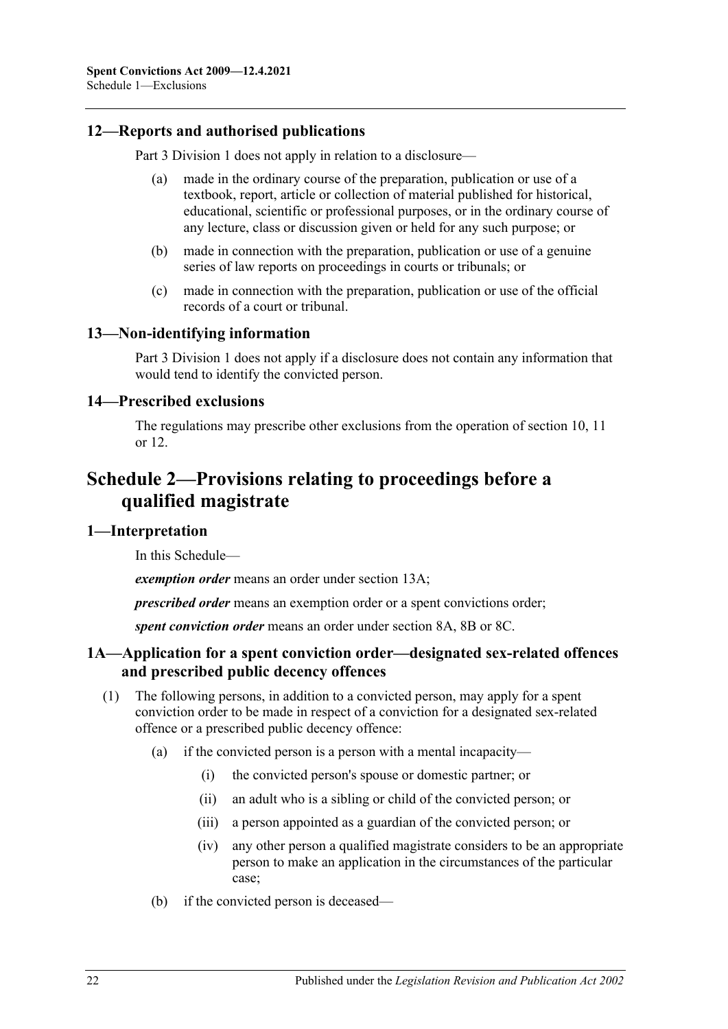## <span id="page-21-0"></span>**12—Reports and authorised publications**

[Part 3 Division 1](#page-13-1) does not apply in relation to a disclosure—

- made in the ordinary course of the preparation, publication or use of a textbook, report, article or collection of material published for historical, educational, scientific or professional purposes, or in the ordinary course of any lecture, class or discussion given or held for any such purpose; or
- (b) made in connection with the preparation, publication or use of a genuine series of law reports on proceedings in courts or tribunals; or
- (c) made in connection with the preparation, publication or use of the official records of a court or tribunal.

#### <span id="page-21-1"></span>**13—Non-identifying information**

[Part 3 Division 1](#page-13-1) does not apply if a disclosure does not contain any information that would tend to identify the convicted person.

#### <span id="page-21-2"></span>**14—Prescribed exclusions**

The regulations may prescribe other exclusions from the operation of [section](#page-13-2) 10, [11](#page-13-3) or [12.](#page-21-0)

## <span id="page-21-3"></span>**Schedule 2—Provisions relating to proceedings before a qualified magistrate**

## <span id="page-21-4"></span>**1—Interpretation**

In this Schedule—

*exemption order* means an order under [section](#page-14-3) 13A;

*prescribed order* means an exemption order or a spent convictions order;

*spent conviction order* means an order under [section](#page-10-1) 8A, [8B](#page-11-0) or [8C.](#page-11-1)

## <span id="page-21-5"></span>**1A—Application for a spent conviction order—designated sex-related offences and prescribed public decency offences**

- (1) The following persons, in addition to a convicted person, may apply for a spent conviction order to be made in respect of a conviction for a designated sex-related offence or a prescribed public decency offence:
	- (a) if the convicted person is a person with a mental incapacity—
		- (i) the convicted person's spouse or domestic partner; or
		- (ii) an adult who is a sibling or child of the convicted person; or
		- (iii) a person appointed as a guardian of the convicted person; or
		- (iv) any other person a qualified magistrate considers to be an appropriate person to make an application in the circumstances of the particular case;
	- (b) if the convicted person is deceased—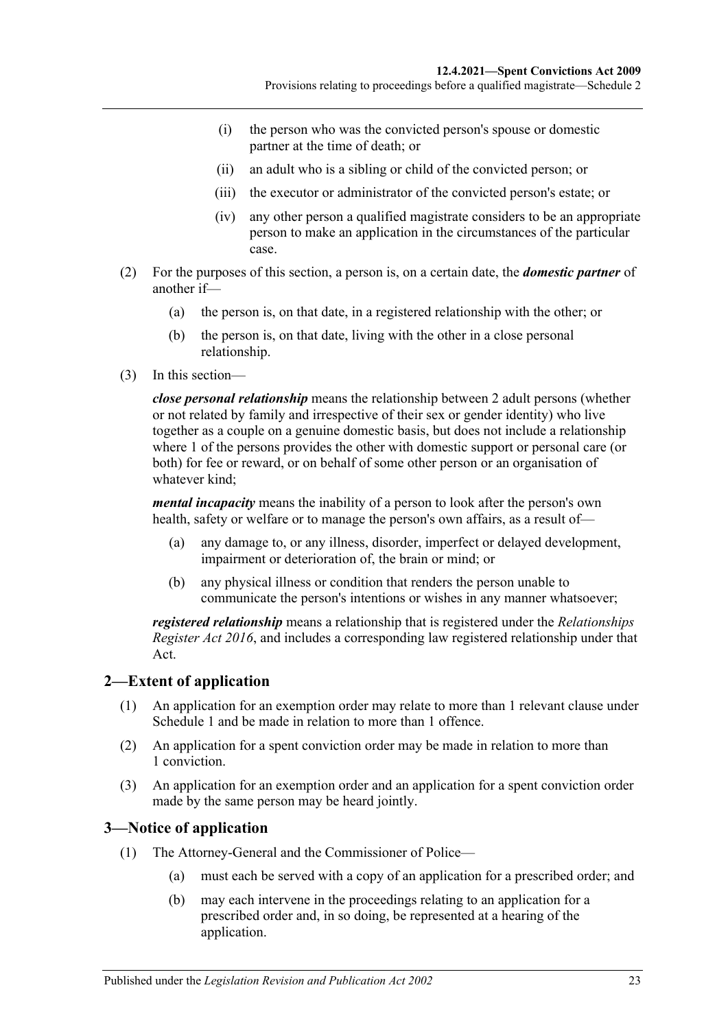- (i) the person who was the convicted person's spouse or domestic partner at the time of death; or
- (ii) an adult who is a sibling or child of the convicted person; or
- (iii) the executor or administrator of the convicted person's estate; or
- (iv) any other person a qualified magistrate considers to be an appropriate person to make an application in the circumstances of the particular case.
- (2) For the purposes of this section, a person is, on a certain date, the *domestic partner* of another if—
	- (a) the person is, on that date, in a registered relationship with the other; or
	- (b) the person is, on that date, living with the other in a close personal relationship.
- (3) In this section—

*close personal relationship* means the relationship between 2 adult persons (whether or not related by family and irrespective of their sex or gender identity) who live together as a couple on a genuine domestic basis, but does not include a relationship where 1 of the persons provides the other with domestic support or personal care (or both) for fee or reward, or on behalf of some other person or an organisation of whatever kind;

*mental incapacity* means the inability of a person to look after the person's own health, safety or welfare or to manage the person's own affairs, as a result of—

- (a) any damage to, or any illness, disorder, imperfect or delayed development, impairment or deterioration of, the brain or mind; or
- (b) any physical illness or condition that renders the person unable to communicate the person's intentions or wishes in any manner whatsoever;

*registered relationship* means a relationship that is registered under the *[Relationships](http://www.legislation.sa.gov.au/index.aspx?action=legref&type=act&legtitle=Relationships%20Register%20Act%202016)  [Register Act](http://www.legislation.sa.gov.au/index.aspx?action=legref&type=act&legtitle=Relationships%20Register%20Act%202016) 2016*, and includes a corresponding law registered relationship under that Act.

## <span id="page-22-0"></span>**2—Extent of application**

- (1) An application for an exemption order may relate to more than 1 relevant clause under [Schedule 1](#page-16-0) and be made in relation to more than 1 offence.
- (2) An application for a spent conviction order may be made in relation to more than 1 conviction.
- (3) An application for an exemption order and an application for a spent conviction order made by the same person may be heard jointly.

## <span id="page-22-1"></span>**3—Notice of application**

- (1) The Attorney-General and the Commissioner of Police—
	- (a) must each be served with a copy of an application for a prescribed order; and
	- (b) may each intervene in the proceedings relating to an application for a prescribed order and, in so doing, be represented at a hearing of the application.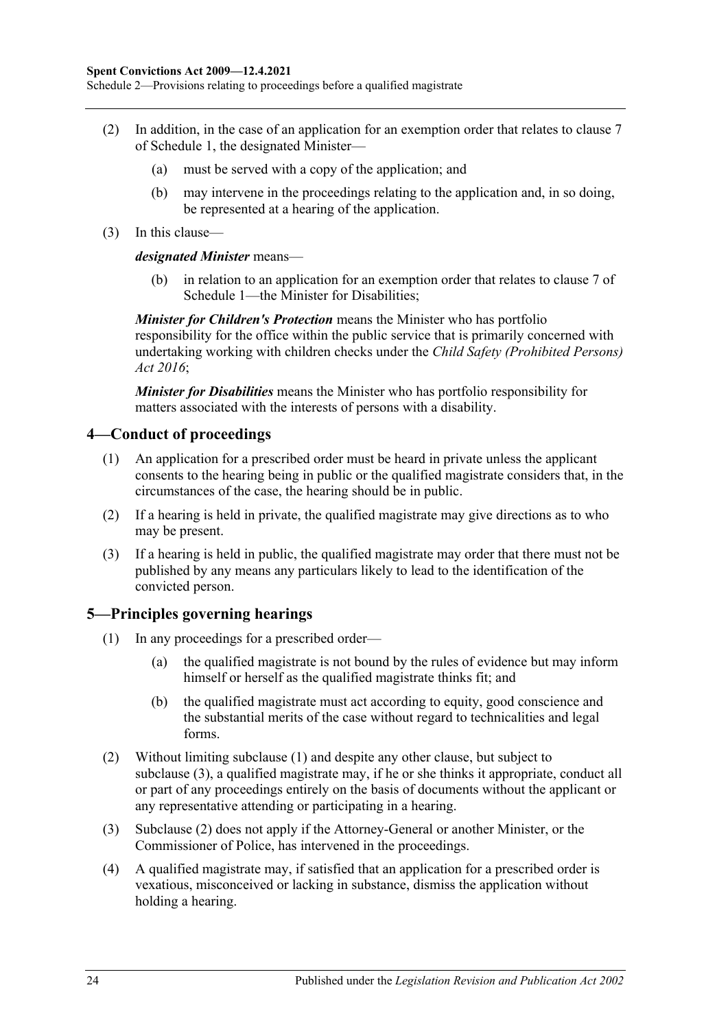Schedule 2—Provisions relating to proceedings before a qualified magistrate

- (2) In addition, in the case of an application for an exemption order that relates to clause [7](#page-18-1) of [Schedule 1,](#page-16-0) the designated Minister—
	- (a) must be served with a copy of the application; and
	- (b) may intervene in the proceedings relating to the application and, in so doing, be represented at a hearing of the application.
- (3) In this clause—

#### *designated Minister* means—

(b) in relation to an application for an exemption order that relates to [clause](#page-18-1) 7 of [Schedule 1—](#page-16-0)the Minister for Disabilities;

*Minister for Children's Protection* means the Minister who has portfolio responsibility for the office within the public service that is primarily concerned with undertaking working with children checks under the *[Child Safety \(Prohibited Persons\)](http://www.legislation.sa.gov.au/index.aspx?action=legref&type=act&legtitle=Child%20Safety%20(Prohibited%20Persons)%20Act%202016)  Act [2016](http://www.legislation.sa.gov.au/index.aspx?action=legref&type=act&legtitle=Child%20Safety%20(Prohibited%20Persons)%20Act%202016)*;

*Minister for Disabilities* means the Minister who has portfolio responsibility for matters associated with the interests of persons with a disability.

#### <span id="page-23-0"></span>**4—Conduct of proceedings**

- (1) An application for a prescribed order must be heard in private unless the applicant consents to the hearing being in public or the qualified magistrate considers that, in the circumstances of the case, the hearing should be in public.
- (2) If a hearing is held in private, the qualified magistrate may give directions as to who may be present.
- (3) If a hearing is held in public, the qualified magistrate may order that there must not be published by any means any particulars likely to lead to the identification of the convicted person.

## <span id="page-23-2"></span><span id="page-23-1"></span>**5—Principles governing hearings**

- (1) In any proceedings for a prescribed order—
	- (a) the qualified magistrate is not bound by the rules of evidence but may inform himself or herself as the qualified magistrate thinks fit; and
	- (b) the qualified magistrate must act according to equity, good conscience and the substantial merits of the case without regard to technicalities and legal forms.
- <span id="page-23-4"></span>(2) Without limiting [subclause](#page-23-2) (1) and despite any other clause, but subject to [subclause](#page-23-3) (3), a qualified magistrate may, if he or she thinks it appropriate, conduct all or part of any proceedings entirely on the basis of documents without the applicant or any representative attending or participating in a hearing.
- <span id="page-23-3"></span>(3) [Subclause](#page-23-4) (2) does not apply if the Attorney-General or another Minister, or the Commissioner of Police, has intervened in the proceedings.
- (4) A qualified magistrate may, if satisfied that an application for a prescribed order is vexatious, misconceived or lacking in substance, dismiss the application without holding a hearing.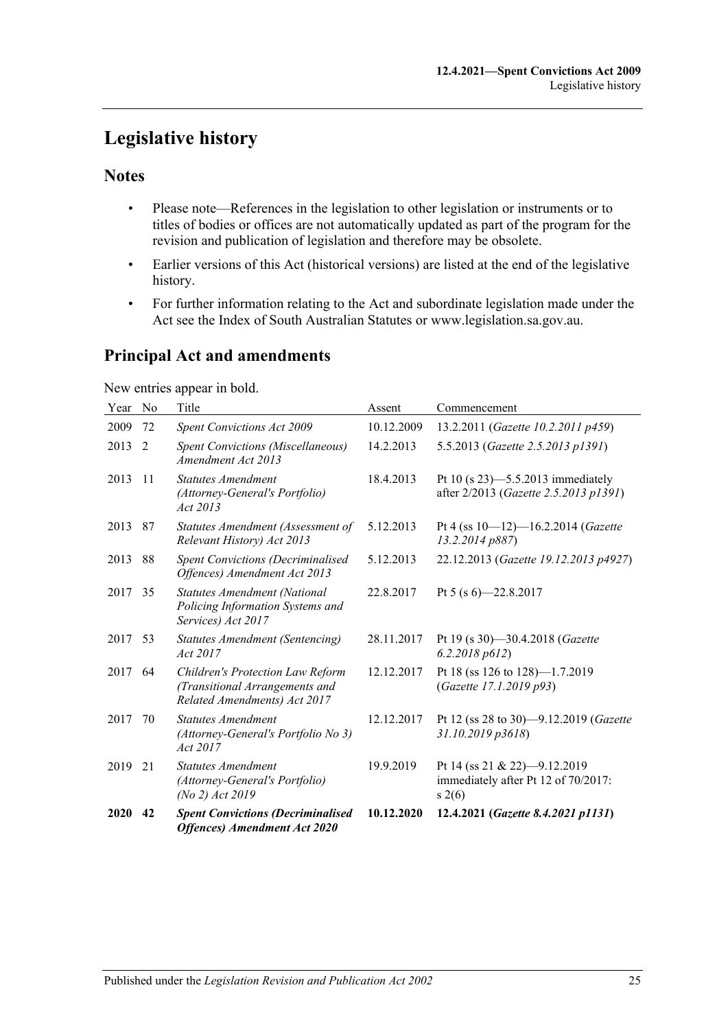## <span id="page-24-0"></span>**Legislative history**

## **Notes**

- Please note—References in the legislation to other legislation or instruments or to titles of bodies or offices are not automatically updated as part of the program for the revision and publication of legislation and therefore may be obsolete.
- Earlier versions of this Act (historical versions) are listed at the end of the legislative history.
- For further information relating to the Act and subordinate legislation made under the Act see the Index of South Australian Statutes or www.legislation.sa.gov.au.

## **Principal Act and amendments**

New entries appear in bold.

| Year | No | Title                                                                                              | Assent     | Commencement                                                                  |
|------|----|----------------------------------------------------------------------------------------------------|------------|-------------------------------------------------------------------------------|
| 2009 | 72 | <b>Spent Convictions Act 2009</b>                                                                  | 10.12.2009 | 13.2.2011 (Gazette 10.2.2011 p459)                                            |
| 2013 | 2  | <b>Spent Convictions (Miscellaneous)</b><br>Amendment Act 2013                                     | 14.2.2013  | 5.5.2013 (Gazette 2.5.2013 p1391)                                             |
| 2013 | 11 | <b>Statutes Amendment</b><br>(Attorney-General's Portfolio)<br>Act 2013                            | 18.4.2013  | Pt 10 (s 23)-5.5.2013 immediately<br>after 2/2013 (Gazette 2.5.2013 p1391)    |
| 2013 | 87 | Statutes Amendment (Assessment of<br>Relevant History) Act 2013                                    | 5.12.2013  | Pt 4 (ss $10-12$ )-16.2.2014 (Gazette<br>13.2.2014 p887)                      |
| 2013 | 88 | <b>Spent Convictions (Decriminalised</b><br>Offences) Amendment Act 2013                           | 5.12.2013  | 22.12.2013 (Gazette 19.12.2013 p4927)                                         |
| 2017 | 35 | <b>Statutes Amendment (National</b><br>Policing Information Systems and<br>Services) Act 2017      | 22.8.2017  | Pt 5 (s $6$ ) -22.8.2017                                                      |
| 2017 | 53 | Statutes Amendment (Sentencing)<br>Act 2017                                                        | 28.11.2017 | Pt 19 (s 30)-30.4.2018 (Gazette<br>6.2.2018 p612                              |
| 2017 | 64 | Children's Protection Law Reform<br>(Transitional Arrangements and<br>Related Amendments) Act 2017 | 12.12.2017 | Pt 18 (ss 126 to 128)-1.7.2019<br>(Gazette 17.1.2019 p93)                     |
| 2017 | 70 | <b>Statutes Amendment</b><br>(Attorney-General's Portfolio No 3)<br>Act 2017                       | 12.12.2017 | Pt 12 (ss 28 to 30)-9.12.2019 (Gazette<br>31.10.2019 p3618)                   |
| 2019 | 21 | <b>Statutes Amendment</b><br>(Attorney-General's Portfolio)<br>(No 2) Act 2019                     | 19.9.2019  | Pt 14 (ss 21 & 22)-9.12.2019<br>immediately after Pt 12 of 70/2017:<br>s(2(6) |
| 2020 | 42 | <b>Spent Convictions (Decriminalised</b><br><b>Offences</b> ) Amendment Act 2020                   | 10.12.2020 | 12.4.2021 (Gazette 8.4.2021 p1131)                                            |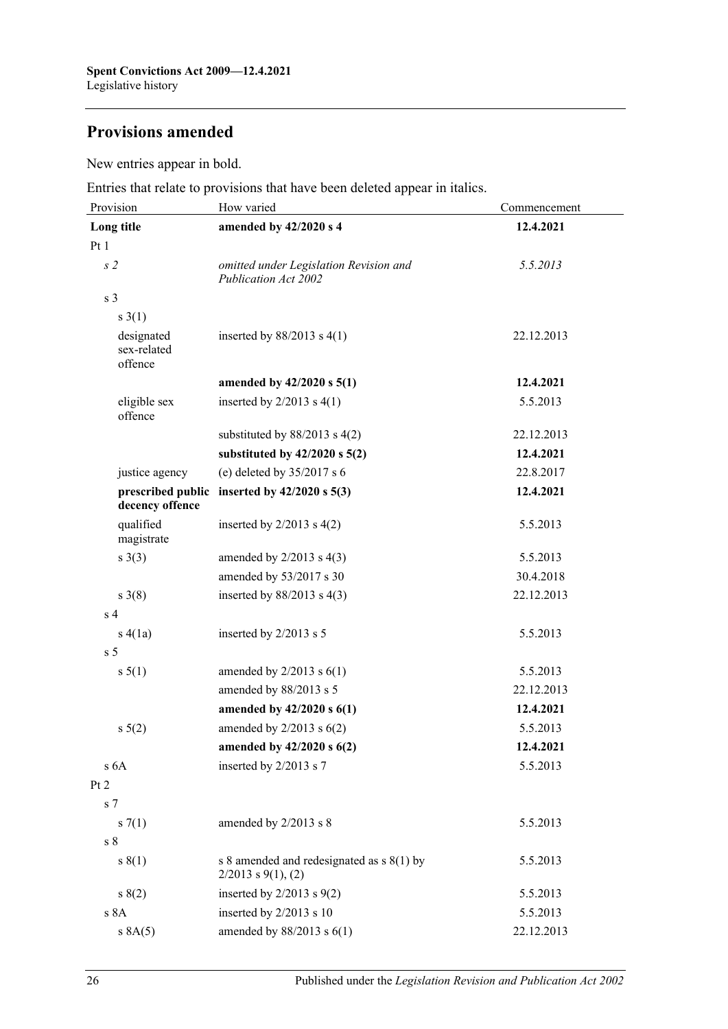## **Provisions amended**

New entries appear in bold.

Entries that relate to provisions that have been deleted appear in italics.

| Provision                            | How varied                                                           | Commencement |
|--------------------------------------|----------------------------------------------------------------------|--------------|
| Long title                           | amended by 42/2020 s 4                                               | 12.4.2021    |
| Pt1                                  |                                                                      |              |
| s <sub>2</sub>                       | omitted under Legislation Revision and<br>Publication Act 2002       | 5.5.2013     |
| s <sub>3</sub>                       |                                                                      |              |
| s(1)                                 |                                                                      |              |
| designated<br>sex-related<br>offence | inserted by $88/2013$ s $4(1)$                                       | 22.12.2013   |
|                                      | amended by 42/2020 s 5(1)                                            | 12.4.2021    |
| eligible sex<br>offence              | inserted by $2/2013$ s $4(1)$                                        | 5.5.2013     |
|                                      | substituted by $88/2013$ s $4(2)$                                    | 22.12.2013   |
|                                      | substituted by $42/2020$ s $5(2)$                                    | 12.4.2021    |
| justice agency                       | (e) deleted by $35/2017$ s 6                                         | 22.8.2017    |
| decency offence                      | prescribed public inserted by $42/2020$ s $5(3)$                     | 12.4.2021    |
| qualified<br>magistrate              | inserted by $2/2013$ s $4(2)$                                        | 5.5.2013     |
| $s \; 3(3)$                          | amended by $2/2013$ s $4(3)$                                         | 5.5.2013     |
|                                      | amended by 53/2017 s 30                                              | 30.4.2018    |
| $s \; 3(8)$                          | inserted by $88/2013$ s 4(3)                                         | 22.12.2013   |
| s <sub>4</sub>                       |                                                                      |              |
| s(4(a))                              | inserted by $2/2013$ s 5                                             | 5.5.2013     |
| s <sub>5</sub>                       |                                                                      |              |
| $s \, 5(1)$                          | amended by $2/2013$ s $6(1)$                                         | 5.5.2013     |
|                                      | amended by 88/2013 s 5                                               | 22.12.2013   |
|                                      | amended by 42/2020 s 6(1)                                            | 12.4.2021    |
| $s\ 5(2)$                            | amended by $2/2013$ s $6(2)$                                         | 5.5.2013     |
|                                      | amended by $42/2020$ s $6(2)$                                        | 12.4.2021    |
| s <sub>6A</sub>                      | inserted by 2/2013 s 7                                               | 5.5.2013     |
| Pt 2                                 |                                                                      |              |
| s <sub>7</sub>                       |                                                                      |              |
| s(7(1))                              | amended by 2/2013 s 8                                                | 5.5.2013     |
| s <sub>8</sub>                       |                                                                      |              |
| s(1)                                 | s 8 amended and redesignated as $s(1)$ by<br>$2/2013$ s $9(1)$ , (2) | 5.5.2013     |
| s(2)                                 | inserted by $2/2013$ s $9(2)$                                        | 5.5.2013     |
| s 8A                                 | inserted by 2/2013 s 10                                              | 5.5.2013     |
| s 8A(5)                              | amended by $88/2013$ s $6(1)$                                        | 22.12.2013   |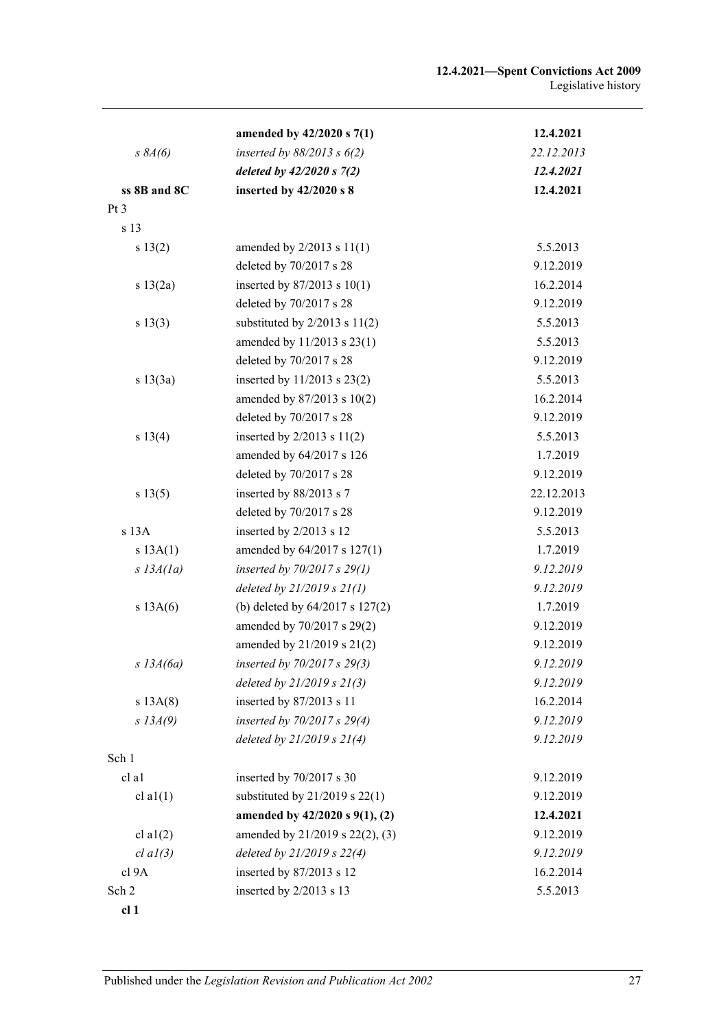|                 | amended by 42/2020 s 7(1)          | 12.4.2021  |
|-----------------|------------------------------------|------------|
| $s\,8A(6)$      | inserted by $88/2013$ s $6(2)$     | 22.12.2013 |
|                 | deleted by $42/2020 s 7(2)$        | 12.4.2021  |
| ss 8B and 8C    | inserted by 42/2020 s 8            | 12.4.2021  |
| Pt 3            |                                    |            |
| s 13            |                                    |            |
| s 13(2)         | amended by $2/2013$ s $11(1)$      | 5.5.2013   |
|                 | deleted by 70/2017 s 28            | 9.12.2019  |
| s 13(2a)        | inserted by 87/2013 s 10(1)        | 16.2.2014  |
|                 | deleted by 70/2017 s 28            | 9.12.2019  |
| s 13(3)         | substituted by $2/2013$ s $11(2)$  | 5.5.2013   |
|                 | amended by 11/2013 s 23(1)         | 5.5.2013   |
|                 | deleted by 70/2017 s 28            | 9.12.2019  |
| s 13(3a)        | inserted by 11/2013 s 23(2)        | 5.5.2013   |
|                 | amended by 87/2013 s 10(2)         | 16.2.2014  |
|                 | deleted by 70/2017 s 28            | 9.12.2019  |
| s 13(4)         | inserted by $2/2013$ s $11(2)$     | 5.5.2013   |
|                 | amended by 64/2017 s 126           | 1.7.2019   |
|                 | deleted by 70/2017 s 28            | 9.12.2019  |
| s 13(5)         | inserted by 88/2013 s 7            | 22.12.2013 |
|                 | deleted by 70/2017 s 28            | 9.12.2019  |
| s 13A           | inserted by 2/2013 s 12            | 5.5.2013   |
| s 13A(1)        | amended by 64/2017 s 127(1)        | 1.7.2019   |
| $s$ 13A(1a)     | inserted by $70/2017 s 29(1)$      | 9.12.2019  |
|                 | deleted by $21/2019 s 21(1)$       | 9.12.2019  |
| s 13A(6)        | (b) deleted by 64/2017 s 127(2)    | 1.7.2019   |
|                 | amended by 70/2017 s 29(2)         | 9.12.2019  |
|                 | amended by 21/2019 s 21(2)         | 9.12.2019  |
| $s$ 13A(6a)     | inserted by 70/2017 s 29(3)        | 9.12.2019  |
|                 | deleted by $21/2019 s 21(3)$       | 9.12.2019  |
| s 13A(8)        | inserted by 87/2013 s 11           | 16.2.2014  |
| $S$ 13 $A(9)$   | inserted by 70/2017 s 29(4)        | 9.12.2019  |
|                 | deleted by $21/2019 s 21(4)$       | 9.12.2019  |
| Sch 1           |                                    |            |
| cl al           | inserted by 70/2017 s 30           | 9.12.2019  |
| cl a $1(1)$     | substituted by $21/2019$ s $22(1)$ | 9.12.2019  |
|                 | amended by 42/2020 s 9(1), (2)     | 12.4.2021  |
| cl a $1(2)$     | amended by 21/2019 s 22(2), (3)    | 9.12.2019  |
| $cl$ $al(3)$    | deleted by 21/2019 s 22(4)         | 9.12.2019  |
| cl 9A           | inserted by 87/2013 s 12           | 16.2.2014  |
| Sch 2           | inserted by 2/2013 s 13            | 5.5.2013   |
| cl <sub>1</sub> |                                    |            |